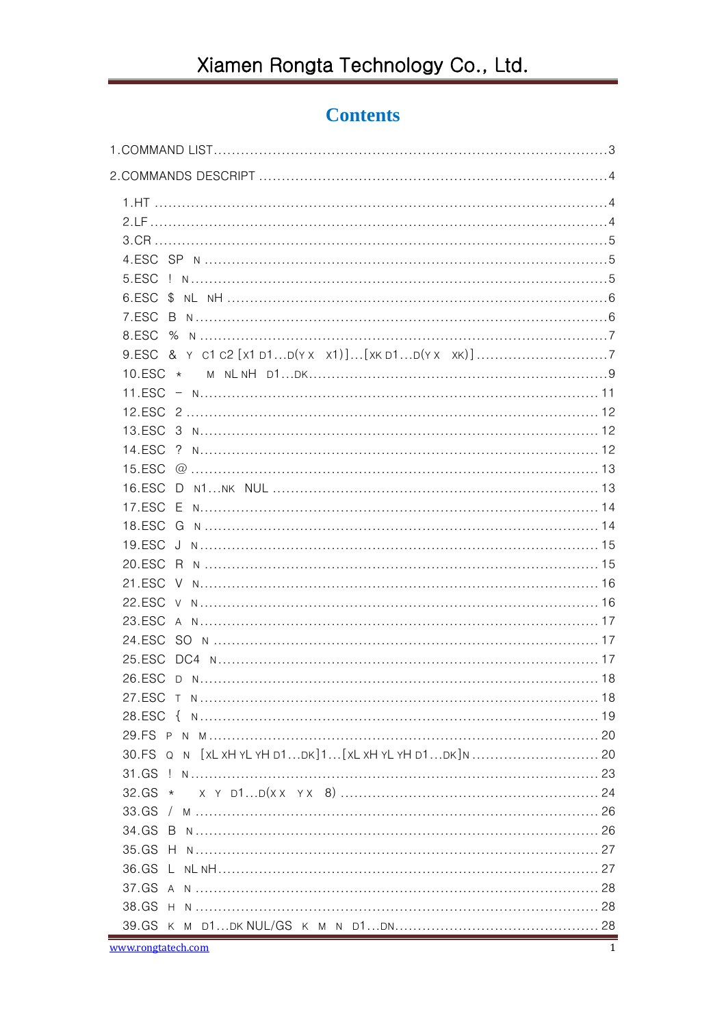## **Contents**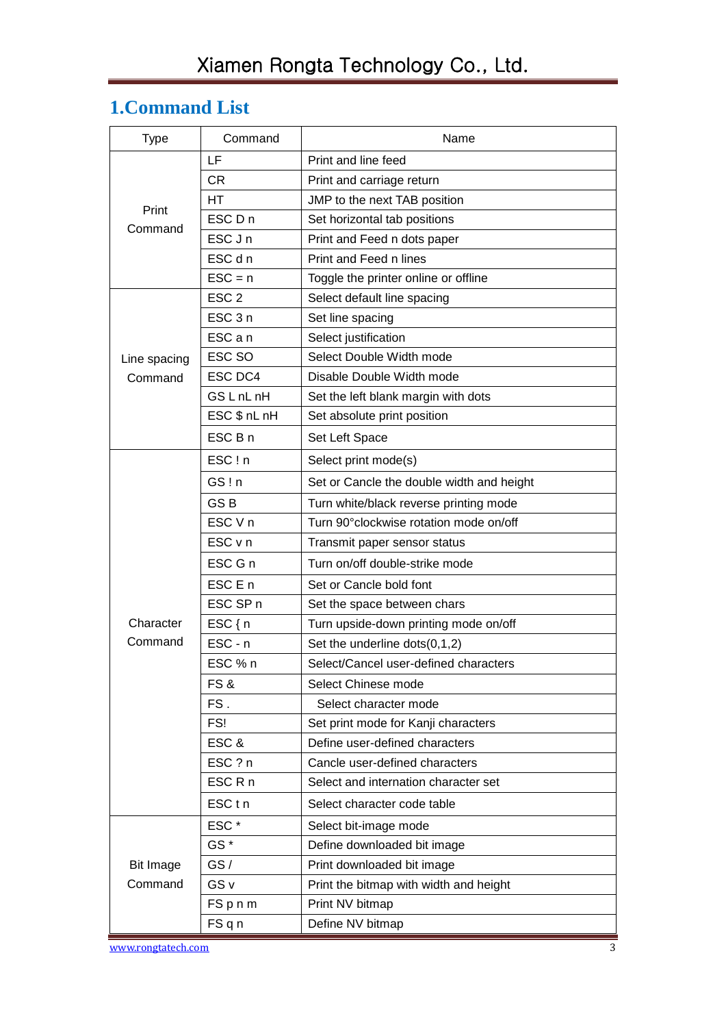## <span id="page-2-0"></span>**1.Command List**

| <b>Type</b>        | Command            | Name                                      |  |  |  |  |
|--------------------|--------------------|-------------------------------------------|--|--|--|--|
|                    | LF                 | Print and line feed                       |  |  |  |  |
|                    | <b>CR</b>          | Print and carriage return                 |  |  |  |  |
| Print              | HΤ                 | JMP to the next TAB position              |  |  |  |  |
| Command            | ESC D n            | Set horizontal tab positions              |  |  |  |  |
|                    | ESC J n            | Print and Feed n dots paper               |  |  |  |  |
|                    | ESC d n            | Print and Feed n lines                    |  |  |  |  |
|                    | $\textsf{ESC} = n$ | Toggle the printer online or offline      |  |  |  |  |
|                    | ESC <sub>2</sub>   | Select default line spacing               |  |  |  |  |
|                    | ESC <sub>3n</sub>  | Set line spacing                          |  |  |  |  |
|                    | ESC a n            | Select justification                      |  |  |  |  |
| Line spacing       | ESC SO             | Select Double Width mode                  |  |  |  |  |
| Command            | ESC DC4            | Disable Double Width mode                 |  |  |  |  |
|                    | GS L nL nH         | Set the left blank margin with dots       |  |  |  |  |
|                    | ESC \$ nL nH       | Set absolute print position               |  |  |  |  |
|                    | ESC B n            | Set Left Space                            |  |  |  |  |
|                    | ESC!n              | Select print mode(s)                      |  |  |  |  |
|                    | GS!n               | Set or Cancle the double width and height |  |  |  |  |
|                    | GS <sub>B</sub>    | Turn white/black reverse printing mode    |  |  |  |  |
|                    | ESC V n            | Turn 90° clockwise rotation mode on/off   |  |  |  |  |
|                    | ESC v n            | Transmit paper sensor status              |  |  |  |  |
|                    | ESC G n            | Turn on/off double-strike mode            |  |  |  |  |
|                    | ESC E n            | Set or Cancle bold font                   |  |  |  |  |
|                    | ESC SP n           | Set the space between chars               |  |  |  |  |
| Character          | $ESC\{n$           | Turn upside-down printing mode on/off     |  |  |  |  |
| Command            | ESC - n            | Set the underline $dots(0,1,2)$           |  |  |  |  |
|                    | ESC % n            | Select/Cancel user-defined characters     |  |  |  |  |
|                    | FS&                | Select Chinese mode                       |  |  |  |  |
|                    | FS.                | Select character mode                     |  |  |  |  |
|                    | FS!                | Set print mode for Kanji characters       |  |  |  |  |
|                    | ESC&               | Define user-defined characters            |  |  |  |  |
|                    | ESC ? n            | Cancle user-defined characters            |  |  |  |  |
|                    | ESC R n            | Select and internation character set      |  |  |  |  |
|                    | ESC <sub>tn</sub>  | Select character code table               |  |  |  |  |
|                    | ESC*               | Select bit-image mode                     |  |  |  |  |
|                    | GS <sup>*</sup>    | Define downloaded bit image               |  |  |  |  |
| Bit Image          | GS/                | Print downloaded bit image                |  |  |  |  |
| Command            | GS <sub>v</sub>    | Print the bitmap with width and height    |  |  |  |  |
|                    | FSpnm              | Print NV bitmap                           |  |  |  |  |
|                    | FSqn               | Define NV bitmap                          |  |  |  |  |
| www.rongtatech.com |                    | 3                                         |  |  |  |  |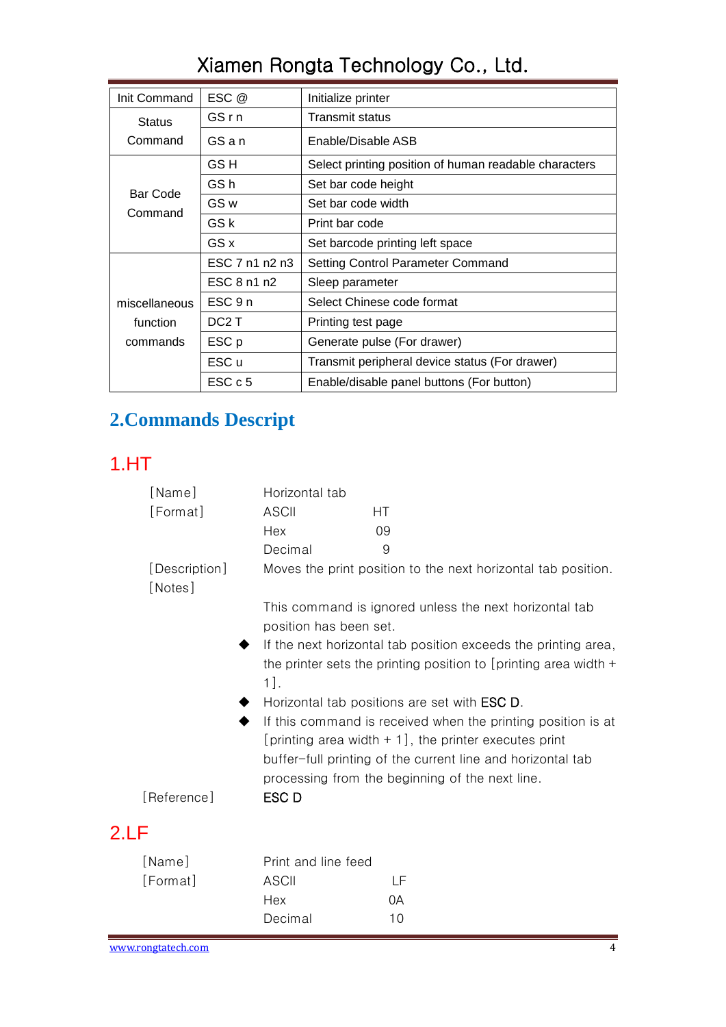| Init Command  | ESC @             | Initialize printer                                    |  |  |  |  |
|---------------|-------------------|-------------------------------------------------------|--|--|--|--|
| <b>Status</b> | GSrn              | Transmit status                                       |  |  |  |  |
| Command       | GSan              | Enable/Disable ASB                                    |  |  |  |  |
|               | GS H              | Select printing position of human readable characters |  |  |  |  |
| Bar Code      | GS h              | Set bar code height                                   |  |  |  |  |
| Command       | GS <sub>w</sub>   | Set bar code width                                    |  |  |  |  |
|               | GS k              | Print bar code                                        |  |  |  |  |
|               | GS x              | Set barcode printing left space                       |  |  |  |  |
|               | ESC 7 n1 n2 n3    | <b>Setting Control Parameter Command</b>              |  |  |  |  |
|               | ESC 8 n1 n2       | Sleep parameter                                       |  |  |  |  |
| miscellaneous | ESC 9 n           | Select Chinese code format                            |  |  |  |  |
| function      | DC <sub>2</sub> T | Printing test page                                    |  |  |  |  |
| commands      | ESC p             | Generate pulse (For drawer)                           |  |  |  |  |
|               | ESC u             | Transmit peripheral device status (For drawer)        |  |  |  |  |
|               | ESC c 5           | Enable/disable panel buttons (For button)             |  |  |  |  |

## <span id="page-3-0"></span>**2.Commands Descript**

## <span id="page-3-1"></span>1.HT

<span id="page-3-2"></span>

|      | [Name]                   | Horizontal tab                                                                                                                                                                                                                            |                                                               |  |  |  |
|------|--------------------------|-------------------------------------------------------------------------------------------------------------------------------------------------------------------------------------------------------------------------------------------|---------------------------------------------------------------|--|--|--|
|      | [Format]                 | <b>ASCII</b>                                                                                                                                                                                                                              | НT                                                            |  |  |  |
|      |                          | Hex                                                                                                                                                                                                                                       | 09                                                            |  |  |  |
|      |                          | Decimal                                                                                                                                                                                                                                   | 9                                                             |  |  |  |
|      | [Description]<br>[Notes] |                                                                                                                                                                                                                                           | Moves the print position to the next horizontal tab position. |  |  |  |
|      |                          | position has been set.                                                                                                                                                                                                                    | This command is ignored unless the next horizontal tab        |  |  |  |
|      |                          | If the next horizontal tab position exceeds the printing area,<br>the printer sets the printing position to [printing area width $+$<br>$1$ .                                                                                             |                                                               |  |  |  |
|      |                          | Horizontal tab positions are set with <b>ESC D</b> .                                                                                                                                                                                      |                                                               |  |  |  |
|      |                          | If this command is received when the printing position is at<br>[printing area width $+1$ ], the printer executes print<br>buffer-full printing of the current line and horizontal tab<br>processing from the beginning of the next line. |                                                               |  |  |  |
|      | [Reference]              | ESC D                                                                                                                                                                                                                                     |                                                               |  |  |  |
| 2.LF |                          |                                                                                                                                                                                                                                           |                                                               |  |  |  |
|      | [Name]                   | Print and line feed                                                                                                                                                                                                                       |                                                               |  |  |  |
|      | [Format]                 | <b>ASCII</b>                                                                                                                                                                                                                              | LF                                                            |  |  |  |
|      |                          | Hex                                                                                                                                                                                                                                       | 0A                                                            |  |  |  |
|      |                          | Decimal                                                                                                                                                                                                                                   | 10                                                            |  |  |  |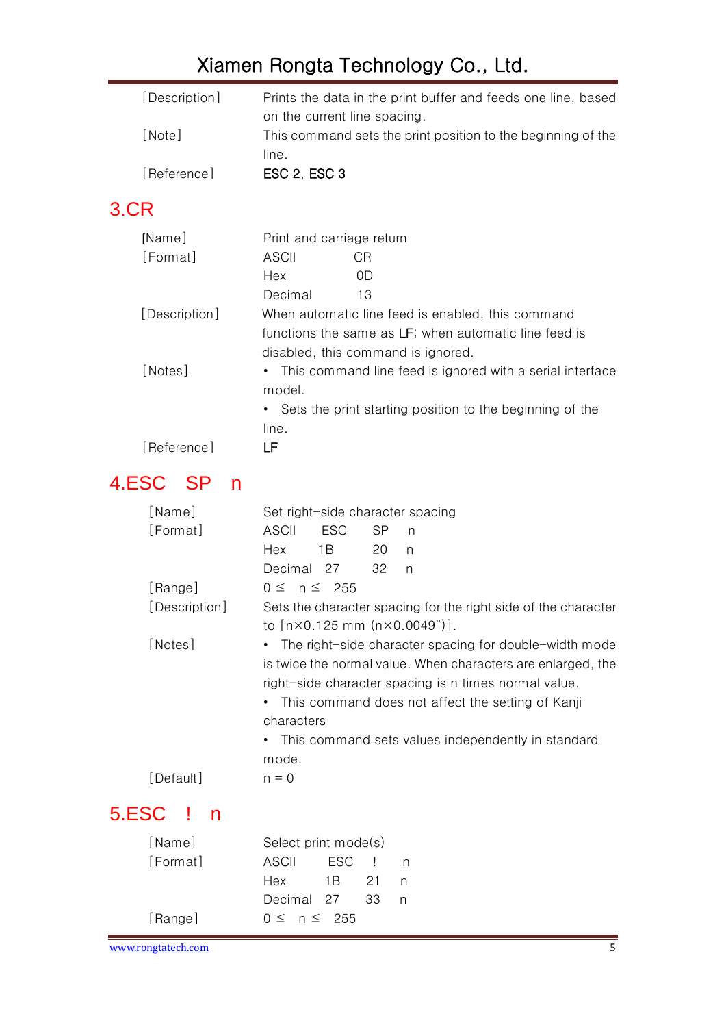| [Description] | Prints the data in the print buffer and feeds one line, based |
|---------------|---------------------------------------------------------------|
|               | on the current line spacing.                                  |
| [Note]        | This command sets the print position to the beginning of the  |
|               | line.                                                         |
| [Reference]   | ESC 2, ESC 3                                                  |

## <span id="page-4-0"></span>3.CR

| [Name]        | Print and carriage return                                  |                                                             |  |  |  |
|---------------|------------------------------------------------------------|-------------------------------------------------------------|--|--|--|
| [Format]      | ASCII                                                      | CR                                                          |  |  |  |
|               | Hex                                                        | 0D                                                          |  |  |  |
|               | Decimal                                                    | 13                                                          |  |  |  |
| [Description] |                                                            | When automatic line feed is enabled, this command           |  |  |  |
|               | functions the same as LF; when automatic line feed is      |                                                             |  |  |  |
|               |                                                            | disabled, this command is ignored.                          |  |  |  |
| [Notes]       |                                                            | • This command line feed is ignored with a serial interface |  |  |  |
|               | model.                                                     |                                                             |  |  |  |
|               | • Sets the print starting position to the beginning of the |                                                             |  |  |  |
|               | line.                                                      |                                                             |  |  |  |
| [Reference]   | LF                                                         |                                                             |  |  |  |

# <span id="page-4-1"></span>4.ESC SP n

<span id="page-4-2"></span>

| [Name]             | Set right-side character spacing                                                                                                                                                                                                                                                                                  |  |  |  |
|--------------------|-------------------------------------------------------------------------------------------------------------------------------------------------------------------------------------------------------------------------------------------------------------------------------------------------------------------|--|--|--|
| [Format]           | <b>ESC</b><br><b>SP</b><br><b>ASCII</b><br>n                                                                                                                                                                                                                                                                      |  |  |  |
|                    | Hex<br>1B<br>20<br>n                                                                                                                                                                                                                                                                                              |  |  |  |
|                    | Decimal 27<br>32<br>$\mathsf{n}$                                                                                                                                                                                                                                                                                  |  |  |  |
| [Range]            | $0 \leq n \leq 255$                                                                                                                                                                                                                                                                                               |  |  |  |
| [Description]      | Sets the character spacing for the right side of the character<br>to $[n \times 0.125 \text{ mm } (n \times 0.0049)$ .                                                                                                                                                                                            |  |  |  |
| [Notes]            | The right-side character spacing for double-width mode<br>is twice the normal value. When characters are enlarged, the<br>right-side character spacing is n times normal value.<br>This command does not affect the setting of Kanji<br>characters<br>This command sets values independently in standard<br>mode. |  |  |  |
| [Default]          | $n = 0$                                                                                                                                                                                                                                                                                                           |  |  |  |
| 5.ESC<br>- 1<br>n  |                                                                                                                                                                                                                                                                                                                   |  |  |  |
| [Name]             | Select print mode(s)                                                                                                                                                                                                                                                                                              |  |  |  |
| [Format]           | <b>ESC</b><br><b>ASCII</b><br>n                                                                                                                                                                                                                                                                                   |  |  |  |
|                    | Hex<br>1 B<br>21<br>n                                                                                                                                                                                                                                                                                             |  |  |  |
|                    | Decimal<br>27<br>33<br>n                                                                                                                                                                                                                                                                                          |  |  |  |
| [Range]            | $0 \leq n \leq 255$                                                                                                                                                                                                                                                                                               |  |  |  |
| www.rongtatech.com | 5                                                                                                                                                                                                                                                                                                                 |  |  |  |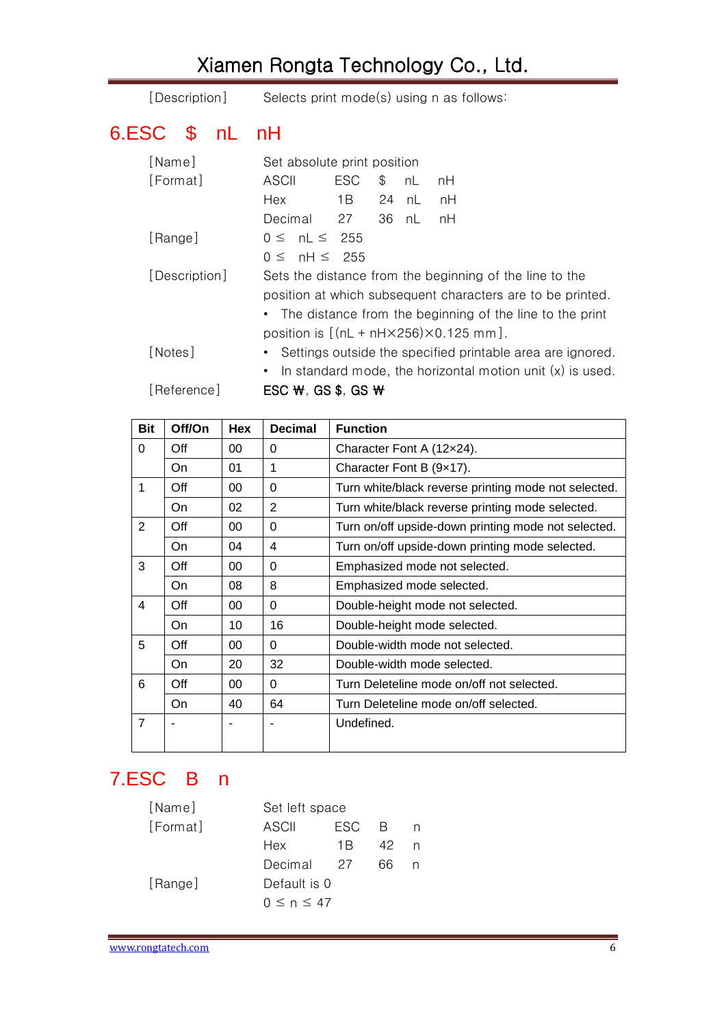<span id="page-5-0"></span>

| [Description]  | Selects print mode(s) using n as follows:                        |
|----------------|------------------------------------------------------------------|
| 6.ESC \$ nL nH |                                                                  |
| [Name]         | Set absolute print position                                      |
| [Format]       | <b>ESC</b><br>ASCII<br>\$<br>nL<br>nH                            |
|                | 1B<br>24<br>Hex<br>nL<br>nH                                      |
|                | Decimal<br>27<br>36<br>nL<br>nH                                  |
| [Range]        | $0 \leq nL \leq 255$                                             |
|                | $0 \leq \theta$ nH $\leq$ 255                                    |
| [Description]  | Sets the distance from the beginning of the line to the          |
|                | position at which subsequent characters are to be printed.       |
|                | The distance from the beginning of the line to the print         |
|                | position is $[(nL + nH \times 256) \times 0.125$ mm.             |
| [Notes]        | Settings outside the specified printable area are ignored.       |
|                | In standard mode, the horizontal motion unit $(x)$ is used.<br>٠ |
| [Reference]    | ESC $W$ , GS \$, GS $W$                                          |

| Bit            | Off/On | <b>Hex</b> | <b>Decimal</b> | <b>Function</b>                                      |
|----------------|--------|------------|----------------|------------------------------------------------------|
| $\Omega$       | Off    | 00         | 0              | Character Font A (12x24).                            |
|                | On     | 01         | 1              | Character Font B (9x17).                             |
| 1              | Off    | 00         | 0              | Turn white/black reverse printing mode not selected. |
|                | On     | 02         | $\overline{2}$ | Turn white/black reverse printing mode selected.     |
| $\overline{2}$ | Off    | 00         | 0              | Turn on/off upside-down printing mode not selected.  |
|                | On     | 04         | 4              | Turn on/off upside-down printing mode selected.      |
| 3              | Off    | 00         | 0              | Emphasized mode not selected.                        |
|                | On     | 08         | 8              | Emphasized mode selected.                            |
| 4              | Off    | $00\,$     | 0              | Double-height mode not selected.                     |
|                | On     | 10         | 16             | Double-height mode selected.                         |
| 5              | Off    | 00         | 0              | Double-width mode not selected.                      |
|                | On     | 20         | 32             | Double-width mode selected.                          |
| 6              | Off    | 00         | $\Omega$       | Turn Deleteline mode on/off not selected.            |
|                | On     | 40         | 64             | Turn Deleteline mode on/off selected.                |
| $\overline{7}$ |        |            |                | Undefined.                                           |

## <span id="page-5-1"></span>7.ESC B n

| [Name]   |                  | Set left space |              |   |  |
|----------|------------------|----------------|--------------|---|--|
| [Format] | ASCII            | <b>FSC</b>     | <sup>R</sup> | n |  |
|          | Hex              | 1 B            | 42           | n |  |
|          | Decimal          | 27             | 66           |   |  |
| [Range]  | Default is 0     |                |              |   |  |
|          | $0 \le n \le 47$ |                |              |   |  |
|          |                  |                |              |   |  |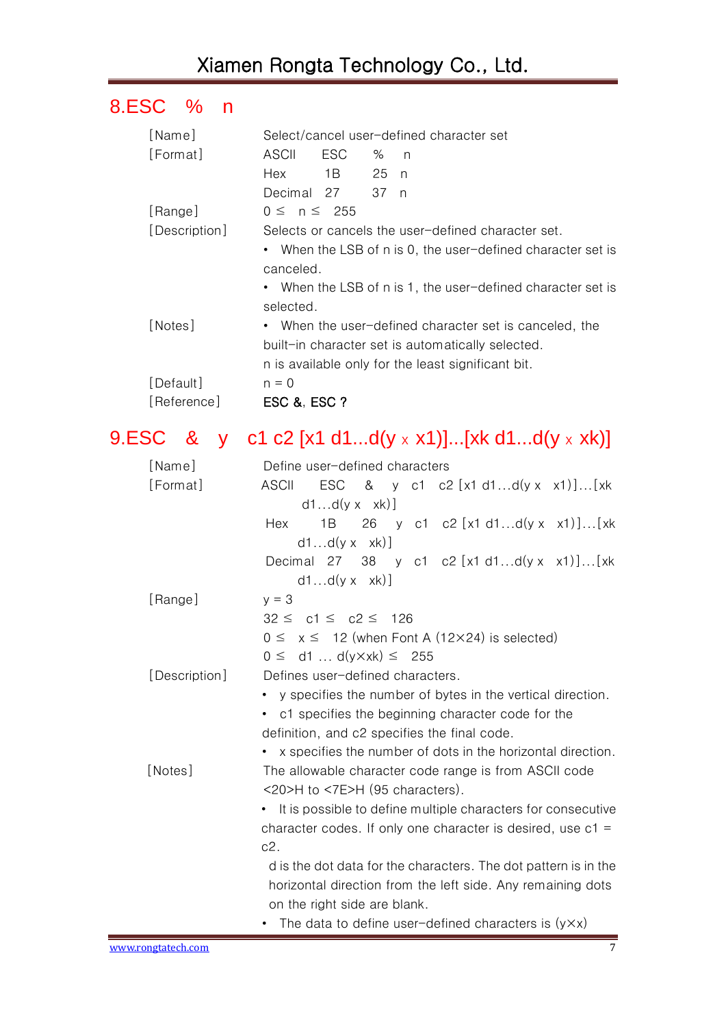## <span id="page-6-0"></span>8.ESC % n

| [Name]                                            | Select/cancel user-defined character set |      |      |    |                                                             |  |  |
|---------------------------------------------------|------------------------------------------|------|------|----|-------------------------------------------------------------|--|--|
| [Format]                                          | ASCII                                    | ESC. | ℅    | n, |                                                             |  |  |
|                                                   | Hex                                      | 1B   | 25 n |    |                                                             |  |  |
|                                                   | Decimal 27                               |      | 37 n |    |                                                             |  |  |
| [Range]                                           | $0 \leq n \leq 255$                      |      |      |    |                                                             |  |  |
| [Description]                                     |                                          |      |      |    | Selects or cancels the user-defined character set.          |  |  |
|                                                   |                                          |      |      |    | • When the LSB of n is 0, the user-defined character set is |  |  |
|                                                   | canceled.                                |      |      |    |                                                             |  |  |
|                                                   |                                          |      |      |    | • When the LSB of n is 1, the user-defined character set is |  |  |
|                                                   | selected.                                |      |      |    |                                                             |  |  |
| [Notes]                                           |                                          |      |      |    | • When the user-defined character set is canceled, the      |  |  |
| built-in character set is automatically selected. |                                          |      |      |    |                                                             |  |  |
|                                                   |                                          |      |      |    | n is available only for the least significant bit.          |  |  |
| [Default]                                         | $n = 0$                                  |      |      |    |                                                             |  |  |
| [Reference]                                       | ESC &, ESC ?                             |      |      |    |                                                             |  |  |

# <span id="page-6-1"></span>9.ESC & y c1 c2 [x1 d1...d( $y \times x1$ )]...[xk d1...d( $y \times xk$ )]

| [Name]        | Define user-defined characters                                                                      |  |  |  |  |  |  |
|---------------|-----------------------------------------------------------------------------------------------------|--|--|--|--|--|--|
| [Format]      | ESC & y c1 c2 $[x1 d1d(y x x1)][x k]$<br><b>ASCII</b>                                               |  |  |  |  |  |  |
|               | $d1d(y \times xk)$                                                                                  |  |  |  |  |  |  |
|               | 26 y c1 c2 [x1 d1d(y x x1)][xk<br>1B<br>Hex                                                         |  |  |  |  |  |  |
|               | $d1d(y \times xk)$                                                                                  |  |  |  |  |  |  |
|               | Decimal 27 38 y c1 c2 $[x1 d1d(y x x1)][x k]$                                                       |  |  |  |  |  |  |
|               | $d1d(y \times xk)$ ]                                                                                |  |  |  |  |  |  |
| [Range]       | $y = 3$                                                                                             |  |  |  |  |  |  |
|               | $32 \leq c1 \leq c2 \leq 126$                                                                       |  |  |  |  |  |  |
|               | $0 \le x \le 12$ (when Font A (12×24) is selected)                                                  |  |  |  |  |  |  |
|               | $0 \le$ d1  d(y×xk) $\le$ 255                                                                       |  |  |  |  |  |  |
| [Description] | Defines user-defined characters.                                                                    |  |  |  |  |  |  |
|               | • y specifies the number of bytes in the vertical direction.                                        |  |  |  |  |  |  |
|               | • c1 specifies the beginning character code for the<br>definition, and c2 specifies the final code. |  |  |  |  |  |  |
|               |                                                                                                     |  |  |  |  |  |  |
|               | • x specifies the number of dots in the horizontal direction.                                       |  |  |  |  |  |  |
| [Notes]       | The allowable character code range is from ASCII code                                               |  |  |  |  |  |  |
|               | $\langle$ 20>H to $\langle$ 7E>H (95 characters).                                                   |  |  |  |  |  |  |
|               | • It is possible to define multiple characters for consecutive                                      |  |  |  |  |  |  |
|               | character codes. If only one character is desired, use $c1 =$                                       |  |  |  |  |  |  |
|               | c2.                                                                                                 |  |  |  |  |  |  |
|               | d is the dot data for the characters. The dot pattern is in the                                     |  |  |  |  |  |  |
|               | horizontal direction from the left side. Any remaining dots                                         |  |  |  |  |  |  |
|               | on the right side are blank.                                                                        |  |  |  |  |  |  |
|               | The data to define user-defined characters is $(y \times x)$                                        |  |  |  |  |  |  |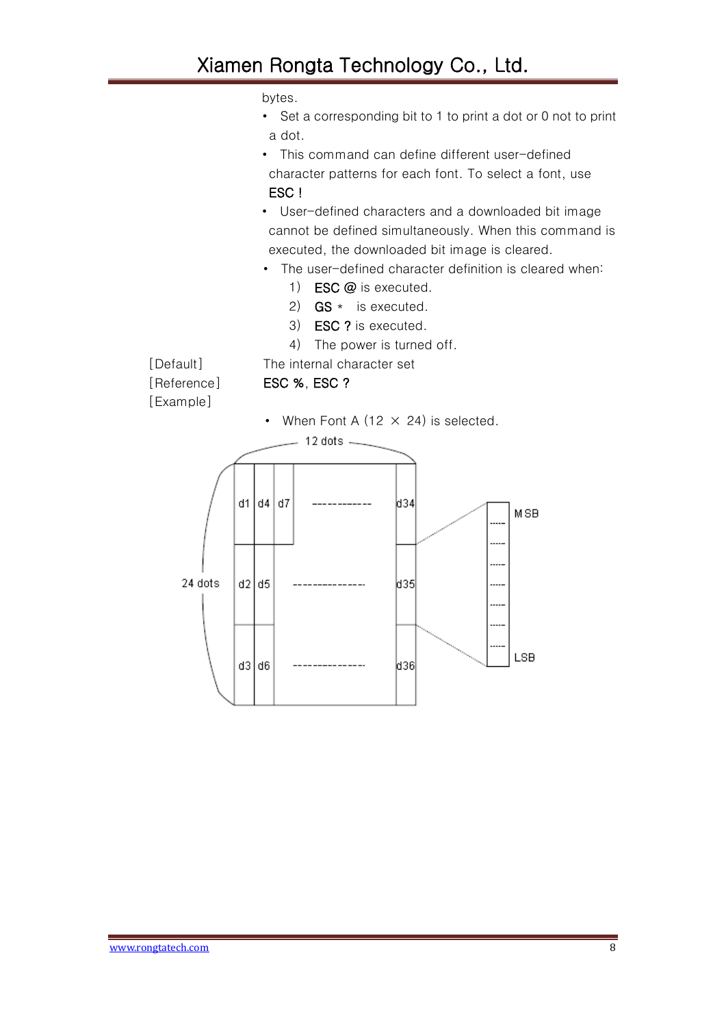bytes.

- Set a corresponding bit to 1 to print a dot or 0 not to print a dot.
- This command can define different user-defined character patterns for each font. To select a font, use ESC !
- User-defined characters and a downloaded bit image cannot be defined simultaneously. When this command is executed, the downloaded bit image is cleared.
- The user-defined character definition is cleared when:
	- 1) ESC @ is executed.
	- 2)  $GS *$  is executed.
	- 3) ESC ? is executed.
	- 4) The power is turned off.

[Example]

[Default] The internal character set

[Reference] ESC %, ESC ?

• When Font A (12  $\times$  24) is selected. 12 dots  $$ d1 d4 d7 MSB .... ..... 24 dots  $d2$   $d5$ **d35** ....  $\ddotsc$  $\cdots$ LSB  $d3|d6$ |d36|

www.rongtatech.com 8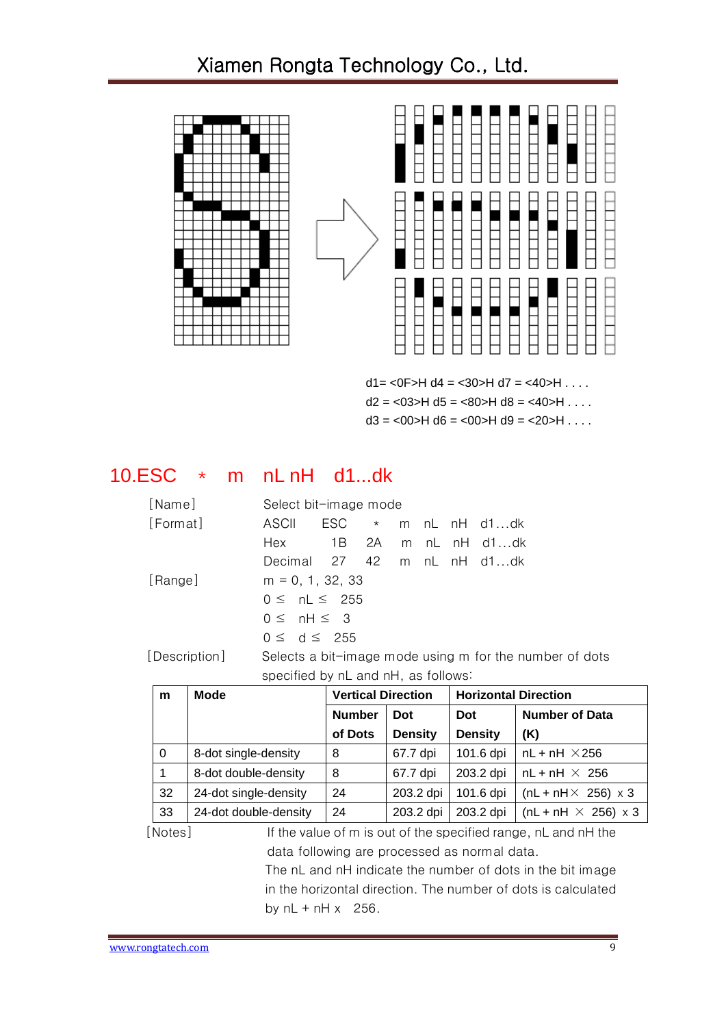

 $d2 = 03$   $>H d5 = 80$   $H d8 = 40$   $H \ldots$ 

 $d3 = 00$  = H  $d6 = 00$  = H  $d9 = 20$  = H  $\dots$ 

#### <span id="page-8-0"></span>10.ESC \* m nL nH d1...dk

| [Name]        | Select bit-image mode               |  |  |                                                         |
|---------------|-------------------------------------|--|--|---------------------------------------------------------|
| [Format]      | ASCII                               |  |  | $\text{ESC}$ $\star$ m nL nH d1dk                       |
|               | Hex                                 |  |  | 1B 2A m nL nH d1dk                                      |
|               | Decimal 27 42 m nL nH d1dk          |  |  |                                                         |
| [Range]       | $m = 0, 1, 32, 33$                  |  |  |                                                         |
|               | $0 \leq nL \leq 255$                |  |  |                                                         |
|               | $0 \leq \theta$ nH $\leq 3$         |  |  |                                                         |
|               | $0 \le d \le 255$                   |  |  |                                                         |
| [Description] |                                     |  |  | Selects a bit-image mode using m for the number of dots |
|               | specified by nL and nH, as follows: |  |  |                                                         |

| m        | <b>Mode</b>           | <b>Vertical Direction</b> |                | <b>Horizontal Direction</b> |                                   |
|----------|-----------------------|---------------------------|----------------|-----------------------------|-----------------------------------|
|          |                       | <b>Number</b>             | Dot            | Dot                         | <b>Number of Data</b>             |
|          |                       | of Dots                   | <b>Density</b> | <b>Density</b>              | (K)                               |
| $\Omega$ | 8-dot single-density  | 8                         | 67.7 dpi       | 101.6 dpi                   | $nL + nH \times 256$              |
|          | 8-dot double-density  | 8                         | 67.7 dpi       | 203.2 dpi                   | $nL + nH \times 256$              |
| 32       | 24-dot single-density | 24                        | 203.2 dpi      | 101.6 dpi                   | $(nL + nH \times 256) \times 3$   |
| 33       | 24-dot double-density | 24                        | 203.2 dpi      | 203.2 dpi                   | (nL + nH $\times$ 256) $\times$ 3 |

[Notes] If the value of m is out of the specified range, nL and nH the data following are processed as normal data.

> The nL and nH indicate the number of dots in the bit image in the horizontal direction. The number of dots is calculated by  $nL + nH x$  256.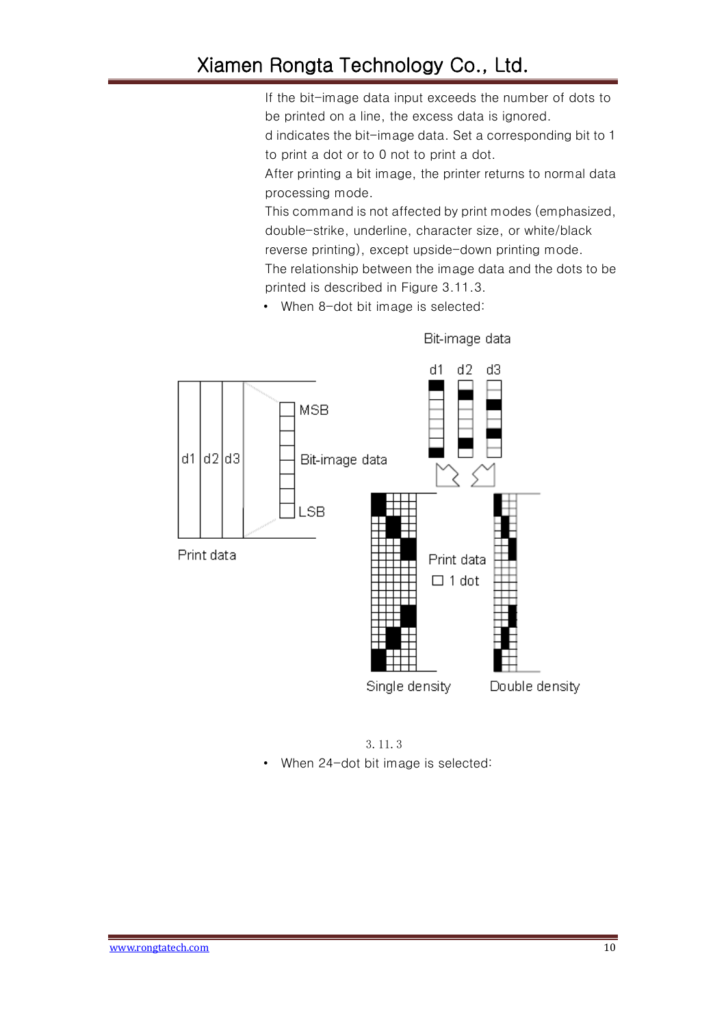If the bit-image data input exceeds the number of dots to be printed on a line, the excess data is ignored.

d indicates the bit-image data. Set a corresponding bit to 1 to print a dot or to 0 not to print a dot.

After printing a bit image, the printer returns to normal data processing mode.

This command is not affected by print modes (emphasized, double-strike, underline, character size, or white/black reverse printing), except upside-down printing mode.

The relationship between the image data and the dots to be printed is described in Figure 3.11.3.

• When 8-dot bit image is selected:



Bit-image data

3.11.3 • When 24-dot bit image is selected: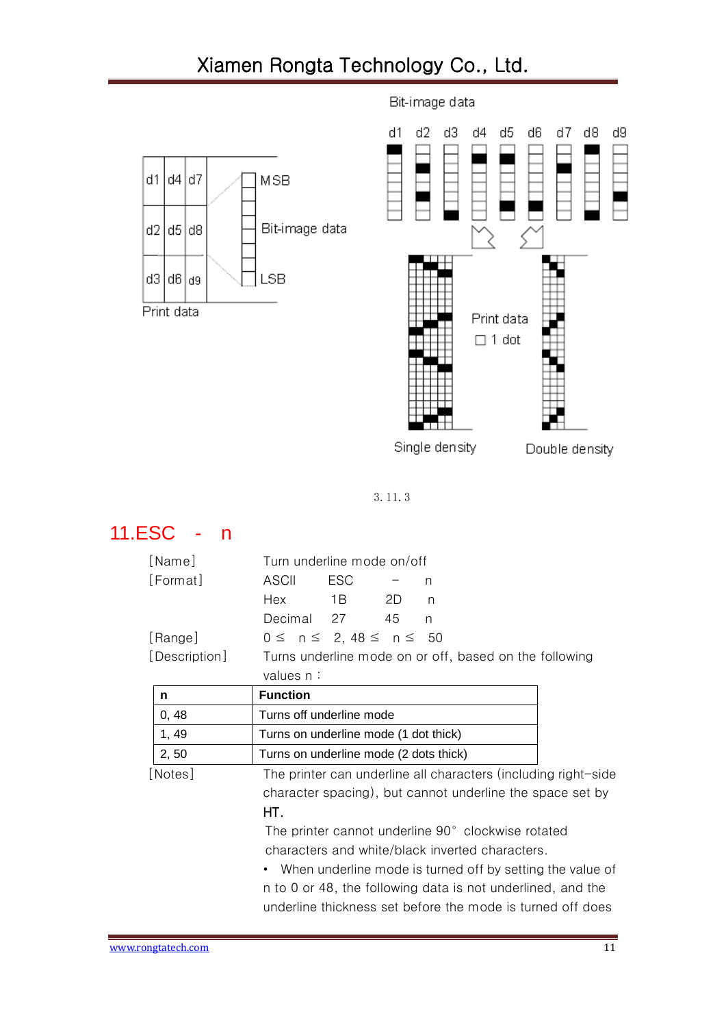

Bit-image data

3.11.3

### <span id="page-10-0"></span>11.ESC - n

| [Name]                                                    | Turn underline mode on/off                                             |  |  |  |  |  |  |  |
|-----------------------------------------------------------|------------------------------------------------------------------------|--|--|--|--|--|--|--|
| [Format]                                                  | ASCII<br>ESC<br>n                                                      |  |  |  |  |  |  |  |
|                                                           | Hex<br>2D<br>1 B<br>n                                                  |  |  |  |  |  |  |  |
|                                                           | Decimal 27<br>45<br>n.                                                 |  |  |  |  |  |  |  |
| [Range]                                                   | $0 \le n \le 2, 48 \le n \le 50$                                       |  |  |  |  |  |  |  |
| [Description]                                             | Turns underline mode on or off, based on the following                 |  |  |  |  |  |  |  |
|                                                           | values n:                                                              |  |  |  |  |  |  |  |
| n                                                         | <b>Function</b>                                                        |  |  |  |  |  |  |  |
| 0, 48                                                     | Turns off underline mode                                               |  |  |  |  |  |  |  |
| 1,49                                                      | Turns on underline mode (1 dot thick)                                  |  |  |  |  |  |  |  |
| 2, 50                                                     | Turns on underline mode (2 dots thick)                                 |  |  |  |  |  |  |  |
| [Notes]                                                   | The printer can underline all characters (including right-side         |  |  |  |  |  |  |  |
| character spacing), but cannot underline the space set by |                                                                        |  |  |  |  |  |  |  |
|                                                           | HT.                                                                    |  |  |  |  |  |  |  |
|                                                           | The printer cannot underline 90° clockwise rotated                     |  |  |  |  |  |  |  |
|                                                           | characters and white/black inverted characters.                        |  |  |  |  |  |  |  |
|                                                           | When underline mode is turned off by setting the value of<br>$\bullet$ |  |  |  |  |  |  |  |
|                                                           | n to 0 or 48, the following data is not underlined, and the            |  |  |  |  |  |  |  |
|                                                           | underline thickness set before the mode is turned off does             |  |  |  |  |  |  |  |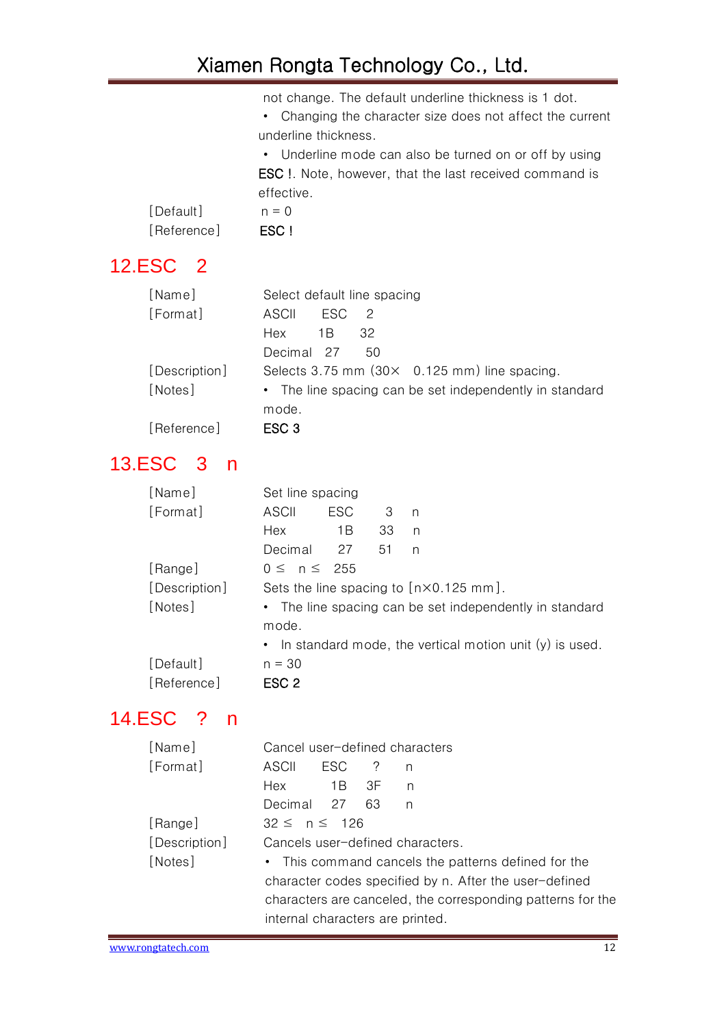not change. The default underline thickness is 1 dot.

• Changing the character size does not affect the current underline thickness.

• Underline mode can also be turned on or off by using ESC !. Note, however, that the last received command is effective.

| [Default]   | $n = 0$ |
|-------------|---------|
| [Reference] | ESC !   |

# <span id="page-11-0"></span>12.ESC 2

| [Name]        | Select default line spacing                             |
|---------------|---------------------------------------------------------|
| [Format]      | ESC.<br>ASCIL<br>- 2                                    |
|               | 1 B<br>32<br>Hex                                        |
|               | Decimal 27<br>50                                        |
| [Description] | Selects 3.75 mm $(30 \times 0.125$ mm) line spacing.    |
| [Notes]       | • The line spacing can be set independently in standard |
|               | mode.                                                   |
| [Reference]   | ESC <sub>3</sub>                                        |

#### <span id="page-11-1"></span>13.ESC 3 n

| [Name]        | Set line spacing    |            |     |                                                             |
|---------------|---------------------|------------|-----|-------------------------------------------------------------|
| [Format]      | ASCII               | <b>ESC</b> | - 3 | n                                                           |
|               | Hex                 | 1 B        | 33  | n                                                           |
|               | Decimal 27          |            | -51 | n                                                           |
| [Range]       | $0 \leq n \leq 255$ |            |     |                                                             |
| [Description] |                     |            |     | Sets the line spacing to $[n \times 0.125$ mm.              |
| [Notes]       | mode.               |            |     | • The line spacing can be set independently in standard     |
|               |                     |            |     | • In standard mode, the vertical motion unit $(y)$ is used. |
| [Default]     | $n = 30$            |            |     |                                                             |
| [Reference]   | ESC <sub>2</sub>    |            |     |                                                             |

## <span id="page-11-2"></span>14.ESC ? n

| [Name]        | Cancel user-defined characters                         |                                                             |   |                                                     |  |  |
|---------------|--------------------------------------------------------|-------------------------------------------------------------|---|-----------------------------------------------------|--|--|
| [Format]      | ASCII                                                  | ESC ?                                                       | n |                                                     |  |  |
|               | Hex 1B 3F                                              |                                                             | n |                                                     |  |  |
|               | Decimal 27 63                                          |                                                             | n |                                                     |  |  |
| [Range]       | $32 \le n \le 126$                                     |                                                             |   |                                                     |  |  |
| [Description] |                                                        | Cancels user-defined characters.                            |   |                                                     |  |  |
| [Notes]       |                                                        |                                                             |   | • This command cancels the patterns defined for the |  |  |
|               | character codes specified by n. After the user-defined |                                                             |   |                                                     |  |  |
|               |                                                        | characters are canceled, the corresponding patterns for the |   |                                                     |  |  |
|               | internal characters are printed.                       |                                                             |   |                                                     |  |  |
|               |                                                        |                                                             |   |                                                     |  |  |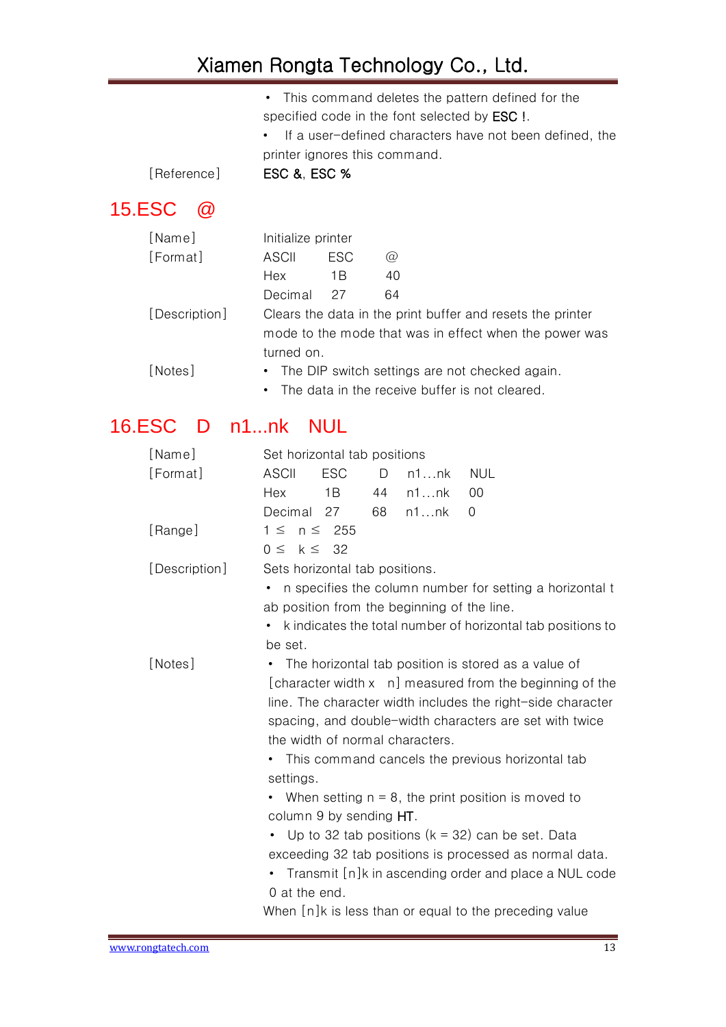|  |  |  |                                                      | • This command deletes the pattern defined for the |  |
|--|--|--|------------------------------------------------------|----------------------------------------------------|--|
|  |  |  | specified code in the font selected by <b>ESC</b> !. |                                                    |  |

• If a user-defined characters have not been defined, the printer ignores this command.

[Reference] ESC &, ESC %

## <span id="page-12-0"></span>15.ESC @

| [Name]        | Initialize printer |                                                        |                                                            |  |  |  |  |
|---------------|--------------------|--------------------------------------------------------|------------------------------------------------------------|--|--|--|--|
| [Format]      | ASCII              | ESC.                                                   | $\omega$                                                   |  |  |  |  |
|               | Hex                | 1Β                                                     | 40                                                         |  |  |  |  |
|               | Decimal            | 27                                                     | 64                                                         |  |  |  |  |
| [Description] |                    |                                                        | Clears the data in the print buffer and resets the printer |  |  |  |  |
|               |                    | mode to the mode that was in effect when the power was |                                                            |  |  |  |  |
|               | turned on.         |                                                        |                                                            |  |  |  |  |
| [Notes]       |                    | • The DIP switch settings are not checked again.       |                                                            |  |  |  |  |
|               |                    |                                                        | • The data in the receive buffer is not cleared.           |  |  |  |  |

## <span id="page-12-1"></span>16.ESC D n1...nk NUL

| [Name]        | Set horizontal tab positions                                                                                                  |  |  |  |  |  |  |
|---------------|-------------------------------------------------------------------------------------------------------------------------------|--|--|--|--|--|--|
| [Format]      | <b>ESC</b><br><b>ASCII</b><br><b>NUL</b><br>D<br>n1nk                                                                         |  |  |  |  |  |  |
|               | Hex<br>1B<br>44<br>n1nk<br>00                                                                                                 |  |  |  |  |  |  |
|               | Decimal 27<br>n1nk<br>68<br>$\Omega$                                                                                          |  |  |  |  |  |  |
| [Range]       | $1 \leq n \leq 255$                                                                                                           |  |  |  |  |  |  |
|               | $0 \leq k \leq 32$                                                                                                            |  |  |  |  |  |  |
| [Description] | Sets horizontal tab positions.                                                                                                |  |  |  |  |  |  |
|               | n specifies the column number for setting a horizontal t<br>٠                                                                 |  |  |  |  |  |  |
|               | ab position from the beginning of the line.                                                                                   |  |  |  |  |  |  |
|               | k indicates the total number of horizontal tab positions to                                                                   |  |  |  |  |  |  |
|               | be set.                                                                                                                       |  |  |  |  |  |  |
| [Notes]       | The horizontal tab position is stored as a value of<br>٠                                                                      |  |  |  |  |  |  |
|               | [character width x n] measured from the beginning of the                                                                      |  |  |  |  |  |  |
|               | line. The character width includes the right-side character                                                                   |  |  |  |  |  |  |
|               | spacing, and double-width characters are set with twice                                                                       |  |  |  |  |  |  |
|               | the width of normal characters.                                                                                               |  |  |  |  |  |  |
|               | This command cancels the previous horizontal tab<br>٠<br>settings.<br>• When setting $n = 8$ , the print position is moved to |  |  |  |  |  |  |
|               |                                                                                                                               |  |  |  |  |  |  |
|               |                                                                                                                               |  |  |  |  |  |  |
|               | column 9 by sending $HT$ .                                                                                                    |  |  |  |  |  |  |
|               | Up to 32 tab positions $(k = 32)$ can be set. Data                                                                            |  |  |  |  |  |  |
|               | exceeding 32 tab positions is processed as normal data.                                                                       |  |  |  |  |  |  |
|               | Transmit [n]k in ascending order and place a NUL code<br>٠                                                                    |  |  |  |  |  |  |
|               | 0 at the end.                                                                                                                 |  |  |  |  |  |  |
|               | When [n]k is less than or equal to the preceding value                                                                        |  |  |  |  |  |  |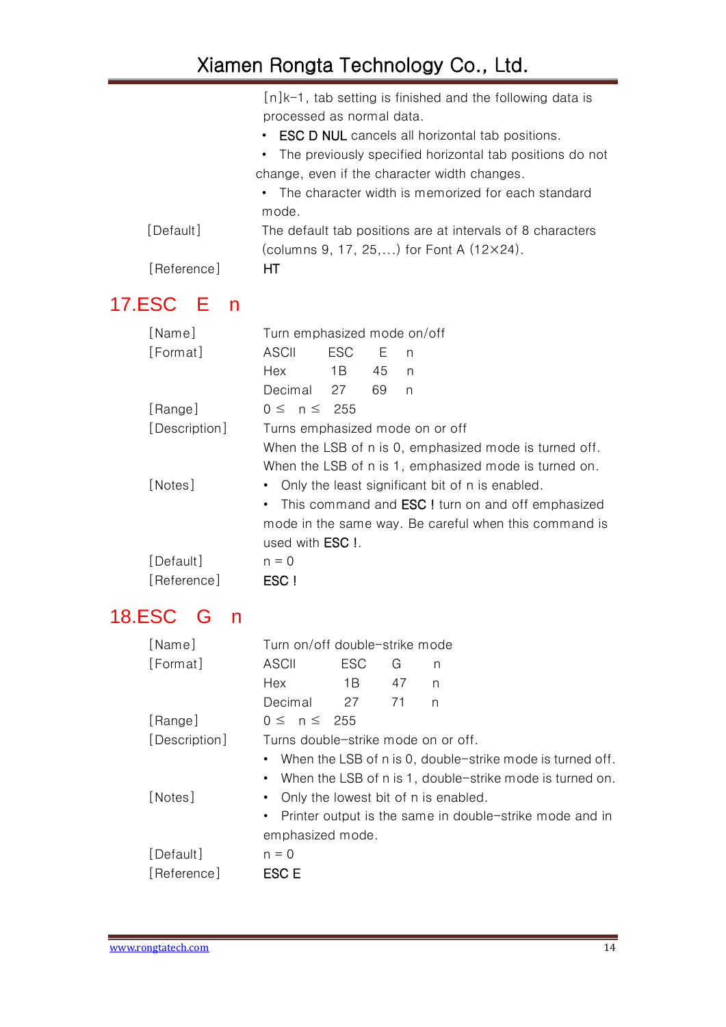|             | $[n]$ k-1, tab setting is finished and the following data is |
|-------------|--------------------------------------------------------------|
|             | processed as normal data.                                    |
|             | • ESC D NUL cancels all horizontal tab positions.            |
|             | • The previously specified horizontal tab positions do not   |
|             | change, even if the character width changes.                 |
|             | • The character width is memorized for each standard         |
|             | mode.                                                        |
| [Default]   | The default tab positions are at intervals of 8 characters   |
|             | (columns 9, 17, 25,) for Font A $(12\times24)$ .             |
| [Reference] | HТ                                                           |
|             |                                                              |

# <span id="page-13-0"></span>17.ESC E n

| [Name]        | Turn emphasized mode on/off |     |    |                                                            |  |
|---------------|-----------------------------|-----|----|------------------------------------------------------------|--|
| [Format]      | ASCII                       | ESC | Ε  | n                                                          |  |
|               | Hex                         | 1 B | 45 | n                                                          |  |
|               | Decimal                     | 27  | 69 | n                                                          |  |
| [Range]       | $0 \leq n \leq 255$         |     |    |                                                            |  |
| [Description] |                             |     |    | Turns emphasized mode on or off                            |  |
|               |                             |     |    | When the LSB of n is 0, emphasized mode is turned off.     |  |
|               |                             |     |    | When the LSB of n is 1, emphasized mode is turned on.      |  |
| [Notes]       |                             |     |    | Only the least significant bit of n is enabled.            |  |
|               |                             |     |    | • This command and <b>ESC</b> ! turn on and off emphasized |  |
|               |                             |     |    | mode in the same way. Be careful when this command is      |  |
|               | used with <b>ESC</b> !.     |     |    |                                                            |  |
| [Default]     | $n = 0$                     |     |    |                                                            |  |
| [Reference]   | ESC !                       |     |    |                                                            |  |

## <span id="page-13-1"></span>18.ESC G n

| [Name]        | Turn on/off double-strike mode         |            |     |                                                             |  |
|---------------|----------------------------------------|------------|-----|-------------------------------------------------------------|--|
| [Format]      | ASCII                                  | <b>ESC</b> | G   | n                                                           |  |
|               | Hex                                    | 1 B        | 47  | n                                                           |  |
|               | Decimal                                | 27         | -71 | n                                                           |  |
| [Range]       | $0 \leq n \leq 255$                    |            |     |                                                             |  |
| [Description] | Turns double-strike mode on or off.    |            |     |                                                             |  |
|               |                                        |            |     | • When the LSB of n is 0, double-strike mode is turned off. |  |
|               |                                        |            |     | • When the LSB of n is 1, double-strike mode is turned on.  |  |
| [Notes]       | • Only the lowest bit of n is enabled. |            |     |                                                             |  |
|               |                                        |            |     | • Printer output is the same in double-strike mode and in   |  |
|               | emphasized mode.                       |            |     |                                                             |  |
| [Default]     | $n = 0$                                |            |     |                                                             |  |
| [Reference]   | ESC E                                  |            |     |                                                             |  |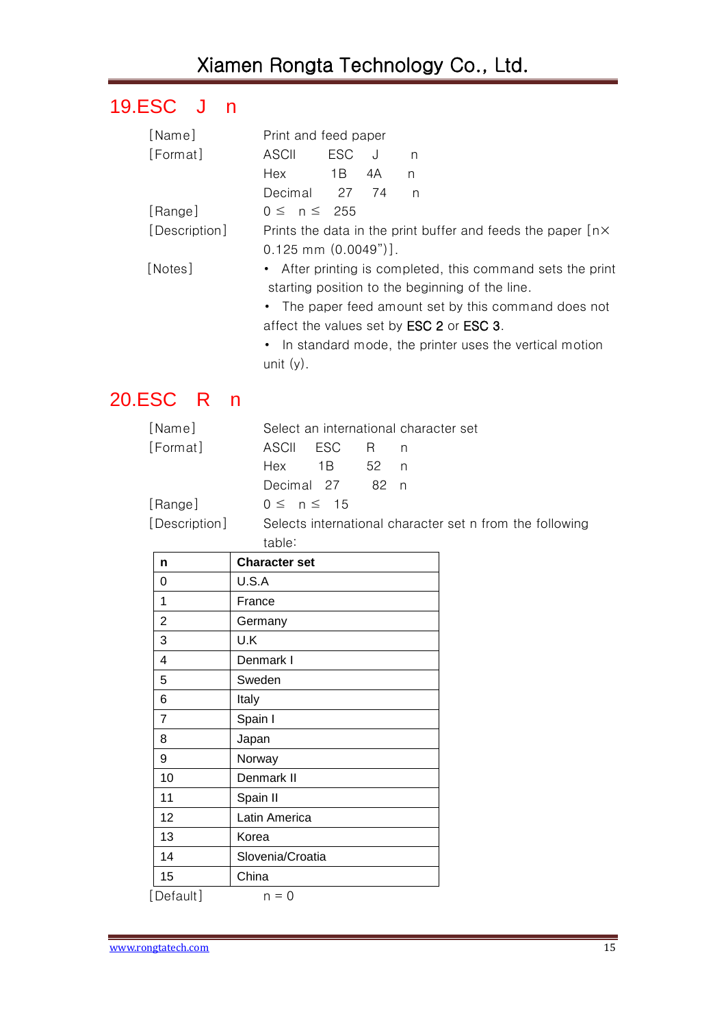# <span id="page-14-0"></span>19.ESC J n

| [Name]        | Print and feed paper                                                                                          |            |    |   |                                                          |
|---------------|---------------------------------------------------------------------------------------------------------------|------------|----|---|----------------------------------------------------------|
| [Format]      | ASCII                                                                                                         | <b>ESC</b> | J  | n |                                                          |
|               | Hex                                                                                                           | 1B         | 4A | n |                                                          |
|               | Decimal 27 74                                                                                                 |            |    | n |                                                          |
| [Range]       | $0 \leq n \leq 255$                                                                                           |            |    |   |                                                          |
| [Description] | Prints the data in the print buffer and feeds the paper $[n \times]$                                          |            |    |   |                                                          |
|               | $0.125$ mm $(0.0049")$ ].                                                                                     |            |    |   |                                                          |
| [Notes]       | • After printing is completed, this command sets the print<br>starting position to the beginning of the line. |            |    |   |                                                          |
|               |                                                                                                               |            |    |   | • The paper feed amount set by this command does not     |
|               |                                                                                                               |            |    |   | affect the values set by <b>ESC 2</b> or <b>ESC 3</b> .  |
|               |                                                                                                               |            |    |   | • In standard mode, the printer uses the vertical motion |
|               | unit $(y)$ .                                                                                                  |            |    |   |                                                          |
|               |                                                                                                               |            |    |   |                                                          |

## <span id="page-14-1"></span>20.ESC R n

| [Name]        |                  |                 |     | Select an international character set                    |
|---------------|------------------|-----------------|-----|----------------------------------------------------------|
| [Format]      | ASCII ESC        |                 | R n |                                                          |
|               |                  | Hex 1B 52 n     |     |                                                          |
|               |                  | Decimal 27 82 n |     |                                                          |
| [Range]       | $0 \le n \le 15$ |                 |     |                                                          |
| [Description] |                  |                 |     | Selects international character set n from the following |
|               | table:           |                 |     |                                                          |

| n              | <b>Character set</b> |
|----------------|----------------------|
| 0              | U.S.A                |
| 1              | France               |
| 2              | Germany              |
| 3              | U.K                  |
| 4              | Denmark I            |
| 5              | Sweden               |
| 6              | Italy                |
| $\overline{7}$ | Spain I              |
| 8              | Japan                |
| 9              | Norway               |
| 10             | Denmark II           |
| 11             | Spain II             |
| 12             | Latin America        |
| 13             | Korea                |
| 14             | Slovenia/Croatia     |
| 15             | China                |
| [Default]      | $n = 0$              |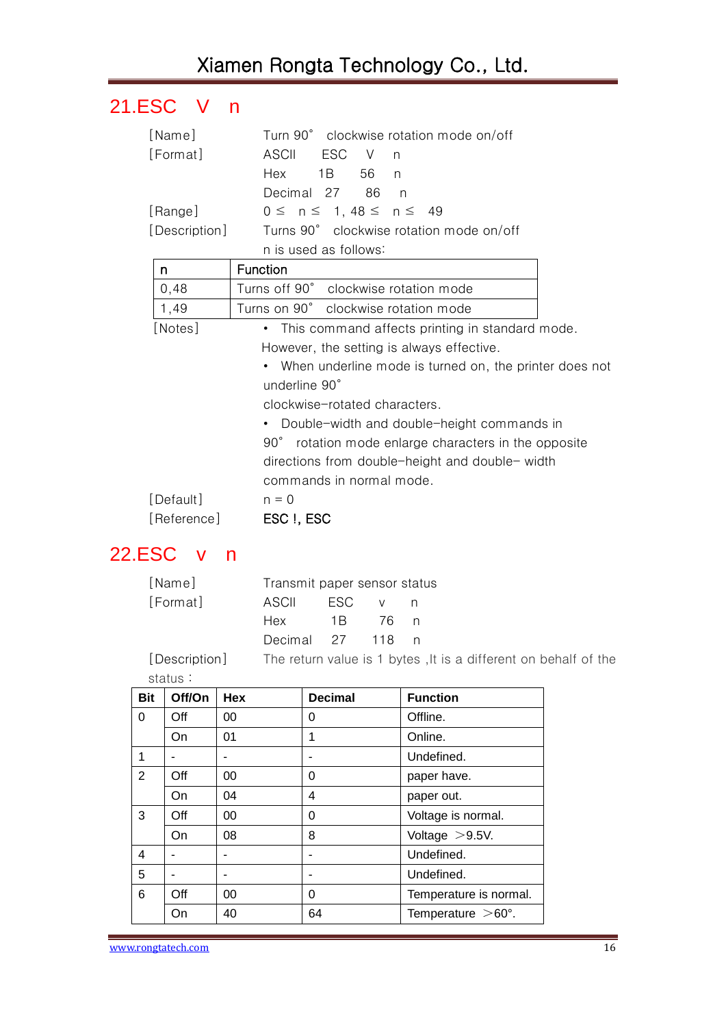## <span id="page-15-0"></span>21.ESC V n

| [Name]        | Turn 90° clockwise rotation mode on/off                          |
|---------------|------------------------------------------------------------------|
| [Format]      | <b>ASCII</b><br><b>ESC</b><br>$\vee$<br>n                        |
|               | Hex<br>1 B<br>56<br>$\mathsf{n}$                                 |
|               | Decimal 27<br>86<br>n                                            |
| [Range]       | $0 \le n \le 1, 48 \le n \le 49$                                 |
| [Description] | Turns 90° clockwise rotation mode on/off                         |
|               | n is used as follows:                                            |
| n             | Function                                                         |
| 0,48          | Turns off 90° clockwise rotation mode                            |
| 1,49          | Turns on 90° clockwise rotation mode                             |
| [Notes]       | • This command affects printing in standard mode.                |
|               | However, the setting is always effective.                        |
|               | • When underline mode is turned on, the printer does not         |
|               | underline 90°                                                    |
|               | clockwise-rotated characters.                                    |
|               | • Double-width and double-height commands in                     |
|               | $90^{\circ}$<br>rotation mode enlarge characters in the opposite |
|               | directions from double-height and double- width                  |
|               | commands in normal mode.                                         |
| [Default]     | $n = 0$                                                          |
| [Reference]   | ESC I, ESC                                                       |

#### <span id="page-15-1"></span>22.ESC v n

| [Name]   | Transmit paper sensor status |     |        |     |
|----------|------------------------------|-----|--------|-----|
| [Format] | ASCIL                        | ESC |        | n n |
|          | Hex                          | 1 B | - 76 n |     |
|          | Decimal 27 118               |     |        |     |
|          |                              |     |        |     |

[Description] The return value is 1 bytes, It is a different on behalf of the status:

| <b>Bit</b>     | Off/On | <b>Hex</b> | <b>Decimal</b> | <b>Function</b>           |
|----------------|--------|------------|----------------|---------------------------|
| 0              | Off    | 00         | 0              | Offline.                  |
|                | On.    | 01         | 1              | Online.                   |
| 1              |        |            | ۰              | Undefined.                |
| $\overline{2}$ | Off    | 00         | 0              | paper have.               |
|                | On     | 04         | 4              | paper out.                |
| 3              | Off    | 00         | 0              | Voltage is normal.        |
|                | On     | 08         | 8              | Voltage $>9.5V$ .         |
| 4              |        |            | ۰              | Undefined.                |
| 5              |        |            | ۰              | Undefined.                |
| 6              | Off    | 00         | $\Omega$       | Temperature is normal.    |
|                | On     | 40         | 64             | Temperature $>60^\circ$ . |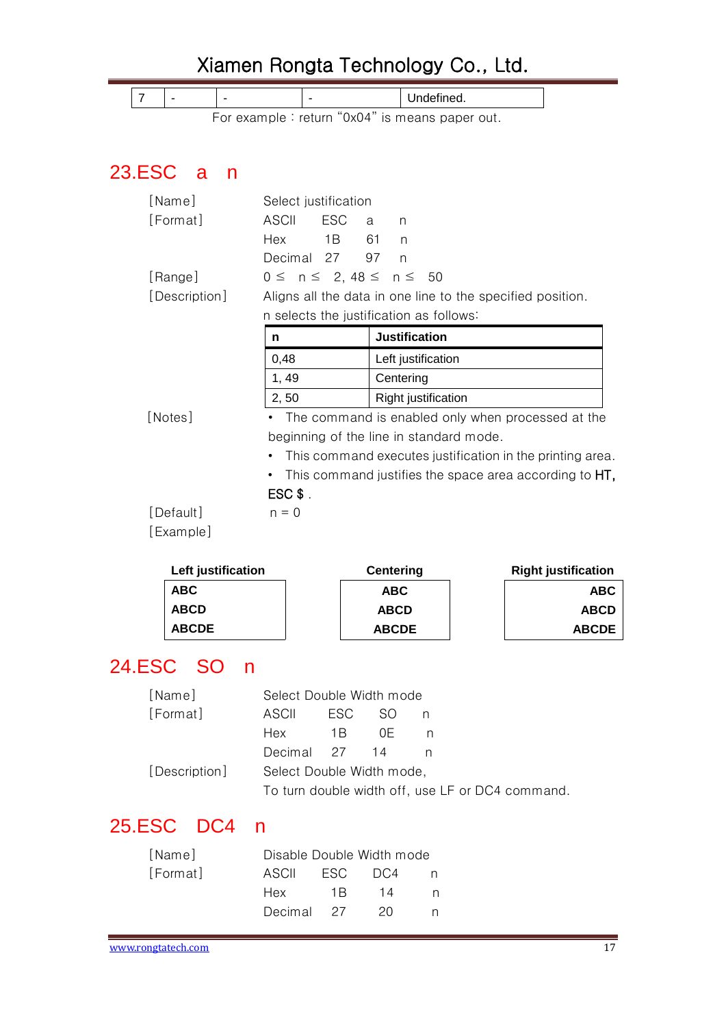<span id="page-16-0"></span>

|               |                        |     | Xiamen Rongta Technology Co., Ltd.                         |                  |                                                           |                            |
|---------------|------------------------|-----|------------------------------------------------------------|------------------|-----------------------------------------------------------|----------------------------|
| 7             |                        |     |                                                            |                  | Undefined.                                                |                            |
|               |                        |     | For example : return "0x04" is means paper out.            |                  |                                                           |                            |
|               |                        |     |                                                            |                  |                                                           |                            |
| <b>23.ESC</b> | <b>a</b>               | n   |                                                            |                  |                                                           |                            |
|               |                        |     |                                                            |                  |                                                           |                            |
|               | [Name]<br>[Format]     |     | Select justification<br><b>ESC</b><br><b>ASCII</b>         | a<br>n           |                                                           |                            |
|               |                        |     | Hex<br>1B                                                  | 61<br>n          |                                                           |                            |
|               |                        |     | Decimal<br>27                                              | 97<br>n          |                                                           |                            |
|               | [Range]                |     | $0 \leq n \leq 2, 48 \leq n \leq$                          |                  | 50                                                        |                            |
|               | [Description]          |     | Aligns all the data in one line to the specified position. |                  |                                                           |                            |
|               |                        |     | n selects the justification as follows:                    |                  |                                                           |                            |
|               |                        |     | n                                                          |                  | <b>Justification</b>                                      |                            |
|               |                        |     | 0,48                                                       |                  | Left justification                                        |                            |
|               |                        |     | 1, 49                                                      | Centering        |                                                           |                            |
|               |                        |     | 2, 50                                                      |                  | Right justification                                       |                            |
|               | [Notes]                |     |                                                            |                  | The command is enabled only when processed at the         |                            |
|               |                        |     | beginning of the line in standard mode.                    |                  |                                                           |                            |
|               |                        |     |                                                            |                  | This command executes justification in the printing area. |                            |
|               |                        |     |                                                            |                  | This command justifies the space area according to HT,    |                            |
|               |                        |     | $ESC$ \$.                                                  |                  |                                                           |                            |
|               | [Default]<br>[Example] |     | $n = 0$                                                    |                  |                                                           |                            |
|               |                        |     |                                                            |                  |                                                           |                            |
|               | Left justification     |     |                                                            | <b>Centering</b> |                                                           | <b>Right justification</b> |
|               | ABC                    |     |                                                            | <b>ABC</b>       |                                                           | <b>ABC</b>                 |
|               | <b>ABCD</b>            |     |                                                            | <b>ABCD</b>      |                                                           | <b>ABCD</b>                |
|               | <b>ABCDE</b>           |     |                                                            | <b>ABCDE</b>     |                                                           | <b>ABCDE</b>               |
|               | 24.ESC SO              | n   |                                                            |                  |                                                           |                            |
|               | [Name]                 |     | Select Double Width mode                                   |                  |                                                           |                            |
|               | [Format]               |     | <b>ASCII</b><br><b>ESC</b>                                 | SO               | n                                                         |                            |
|               |                        |     | Hex<br>1B                                                  | 0E               | n                                                         |                            |
|               |                        |     | Decimal<br>27                                              | 14               | n                                                         |                            |
|               | [Description]          |     | Select Double Width mode,                                  |                  |                                                           |                            |
|               |                        |     | To turn double width off, use LF or DC4 command.           |                  |                                                           |                            |
| <b>25.ESC</b> |                        | DC4 | n                                                          |                  |                                                           |                            |
|               | [Name]                 |     | Disable Double Width mode                                  |                  |                                                           |                            |

<span id="page-16-2"></span><span id="page-16-1"></span>

| INamel   |            |         | Disable Double Width mode |  |
|----------|------------|---------|---------------------------|--|
| [Format] | ASCIL      | ESC DC4 |                           |  |
|          | Hex        | $-1R$   | 14                        |  |
|          | Decimal 27 |         | 20                        |  |
|          |            |         |                           |  |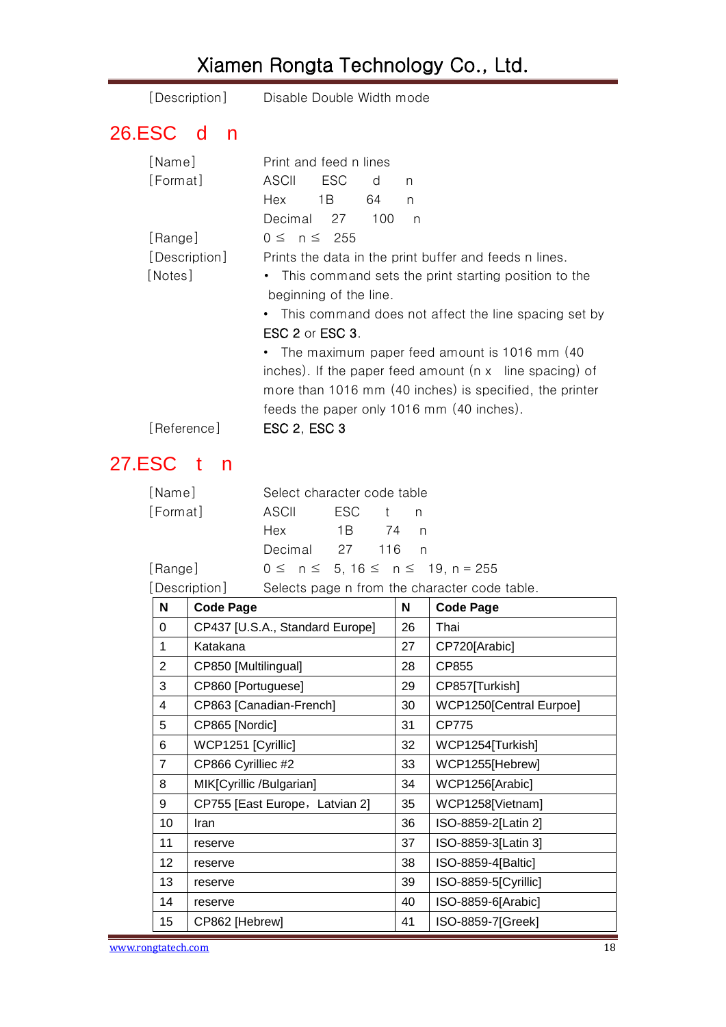<span id="page-17-0"></span>

| [Description]             | Disable Double Width mode                                      |  |  |  |  |  |
|---------------------------|----------------------------------------------------------------|--|--|--|--|--|
| <b>26.ESC</b><br>- d<br>n |                                                                |  |  |  |  |  |
| [Name]                    | Print and feed n lines                                         |  |  |  |  |  |
| [Format]                  | ASCII<br>ESC<br>d<br>n                                         |  |  |  |  |  |
|                           | Hex<br>1B<br>64<br>n                                           |  |  |  |  |  |
|                           | Decimal 27<br>100<br>n                                         |  |  |  |  |  |
| [Range]                   | $0 \leq n \leq 255$                                            |  |  |  |  |  |
| [Description]             | Prints the data in the print buffer and feeds n lines.         |  |  |  |  |  |
| [Notes]                   | • This command sets the print starting position to the         |  |  |  |  |  |
|                           | beginning of the line.                                         |  |  |  |  |  |
|                           | • This command does not affect the line spacing set by         |  |  |  |  |  |
|                           | ESC 2 or ESC 3.                                                |  |  |  |  |  |
|                           | • The maximum paper feed amount is 1016 mm (40)                |  |  |  |  |  |
|                           | inches). If the paper feed amount $(n \times$ line spacing) of |  |  |  |  |  |
|                           | more than 1016 mm (40 inches) is specified, the printer        |  |  |  |  |  |
|                           | feeds the paper only 1016 mm (40 inches).                      |  |  |  |  |  |
| [Reference]               | ESC 2, ESC 3                                                   |  |  |  |  |  |

### <span id="page-17-1"></span>27.ESC t n

| [Name]   | Select character code table |  |  |                                           |  |  |
|----------|-----------------------------|--|--|-------------------------------------------|--|--|
| [Format] | ASCII ESC t n               |  |  |                                           |  |  |
|          |                             |  |  |                                           |  |  |
|          | Decimal 27 116 n            |  |  |                                           |  |  |
| [Range]  |                             |  |  | $0 \le n \le 5, 16 \le n \le 19, n = 255$ |  |  |

[Description] Selects page n from the character code table.

| N               | <b>Code Page</b>                | N  | <b>Code Page</b>        |
|-----------------|---------------------------------|----|-------------------------|
| $\Omega$        | CP437 [U.S.A., Standard Europe] | 26 | Thai                    |
| 1               | Katakana                        | 27 | CP720[Arabic]           |
| $\overline{2}$  | CP850 [Multilingual]            | 28 | CP855                   |
| 3               | CP860 [Portuguese]              | 29 | CP857[Turkish]          |
| 4               | CP863 [Canadian-French]         | 30 | WCP1250[Central Eurpoe] |
| 5               | CP865 [Nordic]                  | 31 | <b>CP775</b>            |
| 6               | WCP1251 [Cyrillic]              | 32 | WCP1254[Turkish]        |
| $\overline{7}$  | CP866 Cyrilliec #2              | 33 | WCP1255[Hebrew]         |
| 8               | MIK[Cyrillic /Bulgarian]        | 34 | WCP1256[Arabic]         |
| 9               | CP755 [East Europe, Latvian 2]  | 35 | WCP1258[Vietnam]        |
| 10 <sup>1</sup> | Iran                            | 36 | ISO-8859-2[Latin 2]     |
| 11              | reserve                         | 37 | ISO-8859-3[Latin 3]     |
| 12 <sup>2</sup> | reserve                         | 38 | ISO-8859-4[Baltic]      |
| 13              | reserve                         | 39 | ISO-8859-5[Cyrillic]    |
| 14              | reserve                         | 40 | ISO-8859-6[Arabic]      |
| 15              | CP862 [Hebrew]                  | 41 | ISO-8859-7[Greek]       |

www.rongtatech.com 18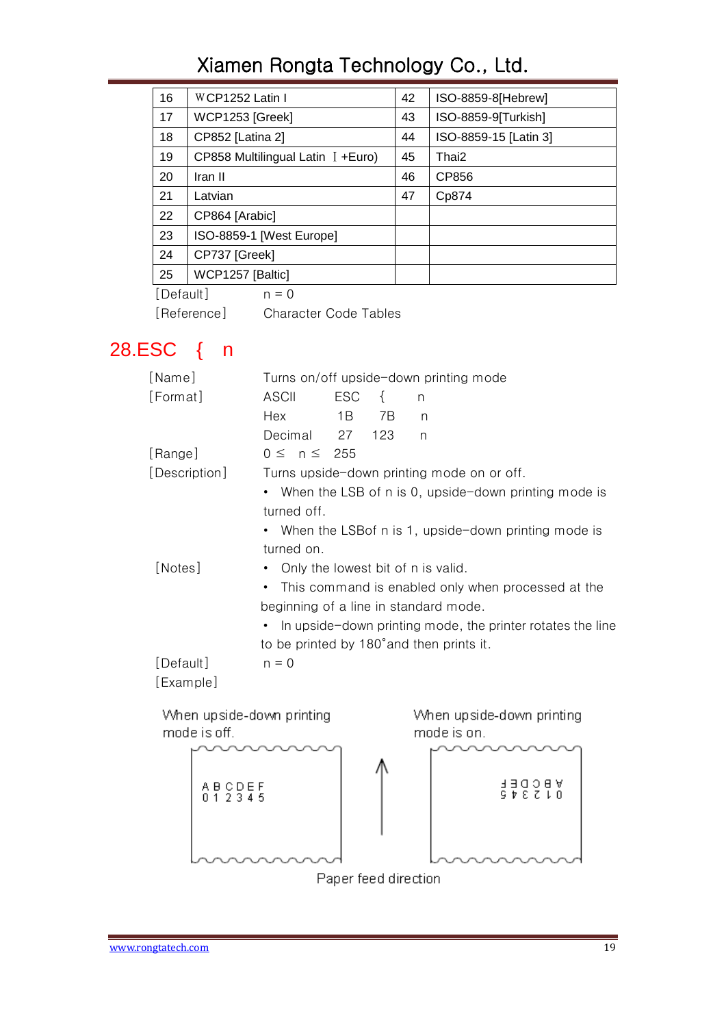| 16 | WCP1252 Latin I                     | 42 | ISO-8859-8[Hebrew]    |
|----|-------------------------------------|----|-----------------------|
| 17 | WCP1253 [Greek]                     | 43 | ISO-8859-9[Turkish]   |
| 18 | CP852 [Latina 2]                    | 44 | ISO-8859-15 [Latin 3] |
| 19 | CP858 Multilingual Latin $I + Euro$ | 45 | Thai2                 |
| 20 | Iran II                             | 46 | CP856                 |
| 21 | Latvian                             | 47 | Cp874                 |
| 22 | CP864 [Arabic]                      |    |                       |
| 23 | ISO-8859-1 [West Europe]            |    |                       |
| 24 | CP737 [Greek]                       |    |                       |
| 25 | WCP1257 [Baltic]                    |    |                       |

 $[Default]$   $n = 0$ 

[Reference] Character Code Tables

# <span id="page-18-0"></span>28.ESC { n

| [Name]                                    | Turns on/off upside-down printing mode                  |            |                   |                                                            |  |  |
|-------------------------------------------|---------------------------------------------------------|------------|-------------------|------------------------------------------------------------|--|--|
| [Format]                                  | ASCII                                                   | <b>ESC</b> | $\left\{ \right.$ | n                                                          |  |  |
|                                           | Hex                                                     | 1 B        | 7B                | n                                                          |  |  |
|                                           | Decimal                                                 | 27         | 123               | n                                                          |  |  |
| [Range]                                   | $0 \leq n \leq 255$                                     |            |                   |                                                            |  |  |
| [Description]                             |                                                         |            |                   | Turns upside-down printing mode on or off.                 |  |  |
|                                           |                                                         |            |                   | • When the LSB of n is 0, upside-down printing mode is     |  |  |
|                                           | turned off.                                             |            |                   |                                                            |  |  |
|                                           |                                                         |            |                   | • When the LSB of n is 1, upside-down printing mode is     |  |  |
|                                           | turned on.                                              |            |                   |                                                            |  |  |
| [Notes]                                   | $\bullet$                                               |            |                   | Only the lowest bit of n is valid.                         |  |  |
|                                           | This command is enabled only when processed at the<br>٠ |            |                   |                                                            |  |  |
|                                           |                                                         |            |                   | beginning of a line in standard mode.                      |  |  |
|                                           | ٠                                                       |            |                   | In upside-down printing mode, the printer rotates the line |  |  |
|                                           |                                                         |            |                   | to be printed by 180° and then prints it.                  |  |  |
| [Default]                                 | $n = 0$                                                 |            |                   |                                                            |  |  |
| [Example]                                 |                                                         |            |                   |                                                            |  |  |
| When upside-down printing<br>mode is off. |                                                         |            |                   | When upside-down printing<br>mode is on.                   |  |  |

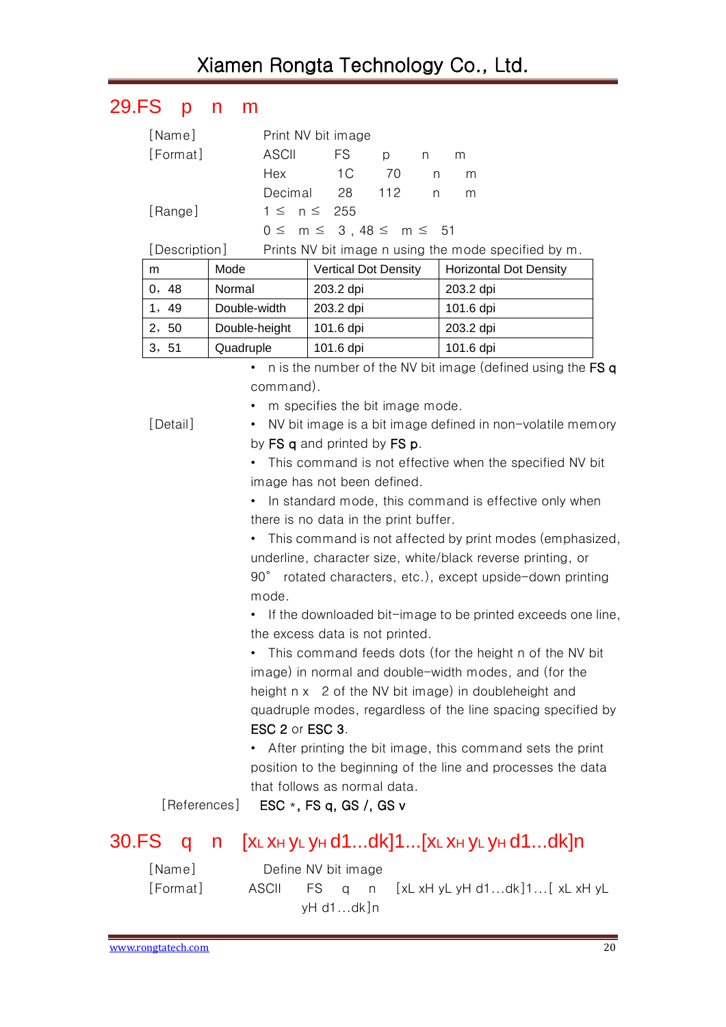## <span id="page-19-0"></span>29.FS p n m

| [Name]        |               |         | Print NV bit image               |                             |     |   |           |                                                      |
|---------------|---------------|---------|----------------------------------|-----------------------------|-----|---|-----------|------------------------------------------------------|
| [Format]      |               | ASCII   | FS.                              |                             | p   | n | m         |                                                      |
|               |               | Hex     | 1 <sup>C</sup>                   |                             | 70  | n | m         |                                                      |
|               |               | Decimal |                                  | 28                          | 112 | n | m         |                                                      |
| [Range]       |               |         | $1 \leq n \leq 255$              |                             |     |   |           |                                                      |
|               |               |         | $0 \le m \le 3, 48 \le m \le 51$ |                             |     |   |           |                                                      |
| [Description] |               |         |                                  |                             |     |   |           |                                                      |
|               |               |         |                                  |                             |     |   |           | Prints NV bit image n using the mode specified by m. |
| m             | Mode          |         |                                  | <b>Vertical Dot Density</b> |     |   |           | <b>Horizontal Dot Density</b>                        |
| 0, 48         | Normal        |         | 203.2 dpi                        |                             |     |   | 203.2 dpi |                                                      |
| 1,49          | Double-width  |         | 203.2 dpi                        |                             |     |   | 101.6 dpi |                                                      |
| 2, 50         | Double-height |         | 101.6 dpi                        |                             |     |   | 203.2 dpi |                                                      |

• n is the number of the NV bit image (defined using the FS q command).

- 
- m specifies the bit image mode.

[Detail] • NV bit image is a bit image defined in non-volatile memory by FS q and printed by FS p.

> • This command is not effective when the specified NV bit image has not been defined.

> • In standard mode, this command is effective only when there is no data in the print buffer.

• This command is not affected by print modes (emphasized, underline, character size, white/black reverse printing, or 90° rotated characters, etc.), except upside-down printing mode.

• If the downloaded bit-image to be printed exceeds one line, the excess data is not printed.

• This command feeds dots (for the height n of the NV bit image) in normal and double-width modes, and (for the height n x 2 of the NV bit image) in doubleheight and quadruple modes, regardless of the line spacing specified by ESC 2 or ESC 3.

• After printing the bit image, this command sets the print position to the beginning of the line and processes the data that follows as normal data.

[References] ESC \*, FS q, GS /, GS v

#### <span id="page-19-1"></span>30.FS q n [XL XH YL YH d1...dk]1...[XL XH YL YH d1...dk]n

[Name] Define NV bit image [Format] ASCII FS q n [xL xH yL yH d1...dk]1...[ xL xH yL yH d1...dk]n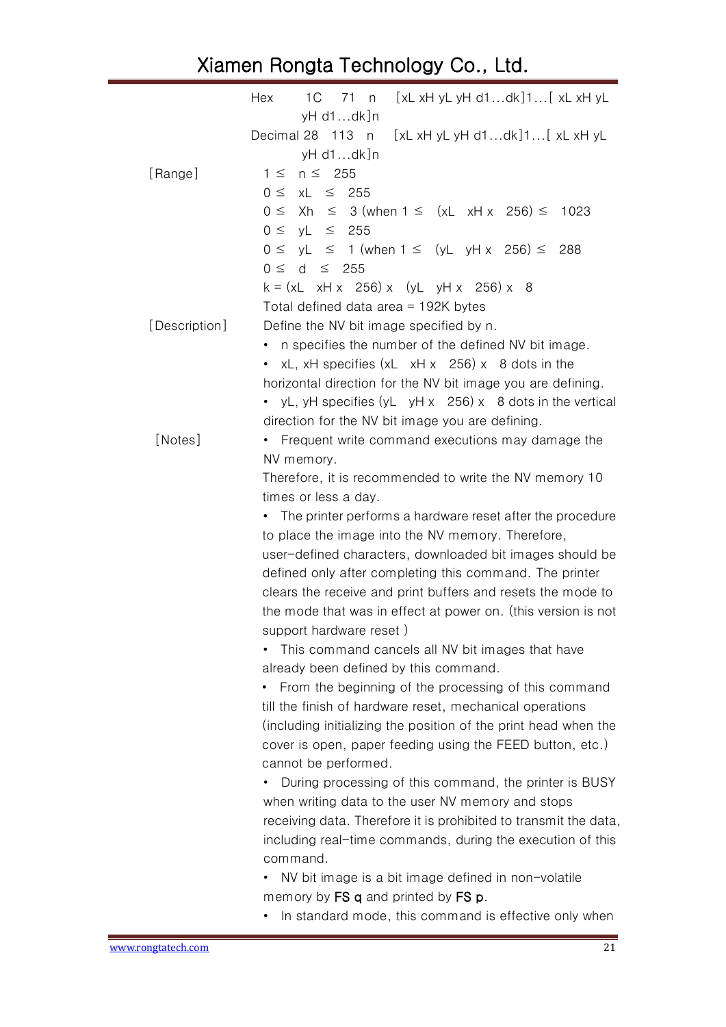|               | Hex<br>$xL \times H$ yL yH d1dk]1 $xL \times H$ yL<br>1 C<br>71<br>n                  |
|---------------|---------------------------------------------------------------------------------------|
|               | yH d1dk]n                                                                             |
|               | Decimal 28 113 n<br>$[xL xH yL yH d1dk]1$ $xL xH yL$                                  |
|               | yH d1dk]n                                                                             |
| [Range]       | $n \leq 255$<br>$1 \leq$                                                              |
|               | $0 \leq$<br>xL<br>$\leq$ 255                                                          |
|               | $\leq$ 3 (when 1 $\leq$ (xL xH x 256) $\leq$<br>$0 \leq$<br>Xh<br>1023                |
|               | yL<br>$\leq$ 255<br>$0 \leq$                                                          |
|               | $yL \leq 1$ (when $1 \leq$ (yL yH x 256) $\leq$<br>$0 \leq$<br>288                    |
|               | d<br>$\leq$ 255<br>$0 \leq$                                                           |
|               | $k = (xL \times H \times 256) \times (yL \times H \times 256) \times 8$               |
|               | Total defined data area = $192K$ bytes                                                |
| [Description] | Define the NV bit image specified by n.                                               |
|               | n specifies the number of the defined NV bit image.                                   |
|               | xL, xH specifies (xL xH x 256) x 8 dots in the<br>$\bullet$                           |
|               | horizontal direction for the NV bit image you are defining.                           |
|               | yL, yH specifies $(yL \, yH \, x \, 256) \, x \, 8$ dots in the vertical<br>$\bullet$ |
|               | direction for the NV bit image you are defining.                                      |
| [Notes]       | Frequent write command executions may damage the                                      |
|               | NV memory.                                                                            |
|               | Therefore, it is recommended to write the NV memory 10                                |
|               | times or less a day.                                                                  |
|               | The printer performs a hardware reset after the procedure<br>٠                        |
|               | to place the image into the NV memory. Therefore,                                     |
|               | user-defined characters, downloaded bit images should be                              |
|               | defined only after completing this command. The printer                               |
|               | clears the receive and print buffers and resets the mode to                           |
|               | the mode that was in effect at power on. (this version is not                         |
|               | support hardware reset)                                                               |
|               | This command cancels all NV bit images that have<br>٠                                 |
|               | already been defined by this command.                                                 |
|               | From the beginning of the processing of this command                                  |
|               | till the finish of hardware reset, mechanical operations                              |
|               | (including initializing the position of the print head when the                       |
|               | cover is open, paper feeding using the FEED button, etc.)                             |
|               | cannot be performed.                                                                  |
|               | During processing of this command, the printer is BUSY                                |
|               | when writing data to the user NV memory and stops                                     |
|               | receiving data. Therefore it is prohibited to transmit the data,                      |
|               | including real-time commands, during the execution of this                            |
|               | command.                                                                              |
|               | NV bit image is a bit image defined in non-volatile<br>٠                              |
|               | memory by FS q and printed by FS p.                                                   |
|               | In standard mode, this command is effective only when                                 |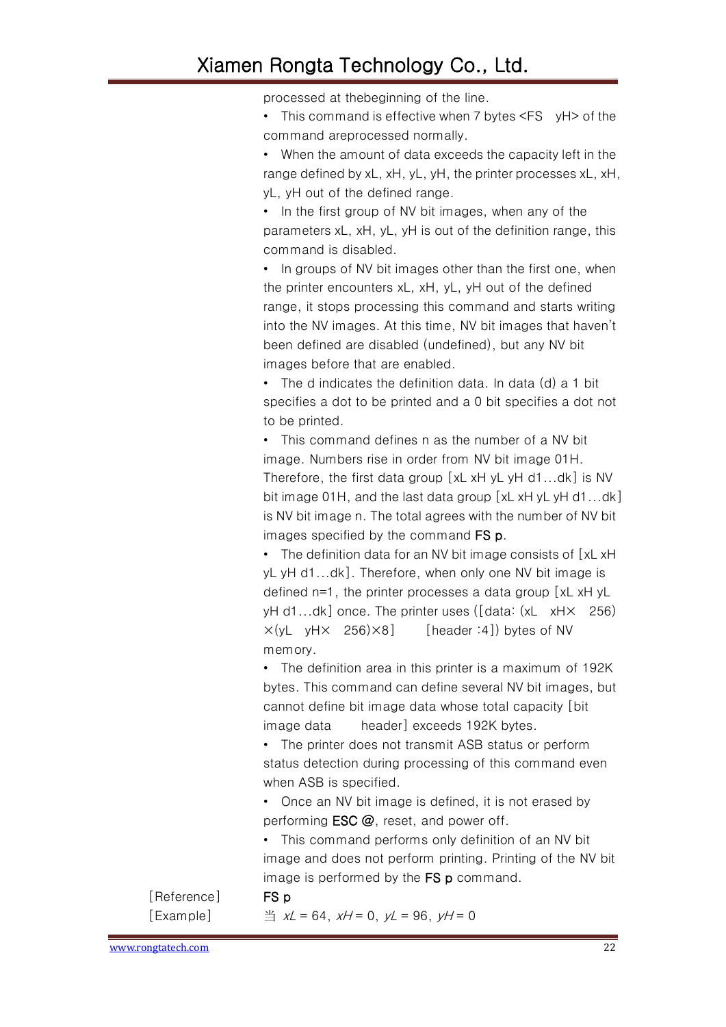processed at thebeginning of the line.

• This command is effective when 7 bytes <FS yH> of the command areprocessed normally.

• When the amount of data exceeds the capacity left in the range defined by xL, xH, yL, yH, the printer processes xL, xH, yL, yH out of the defined range.

• In the first group of NV bit images, when any of the parameters xL, xH, yL, yH is out of the definition range, this command is disabled.

• In groups of NV bit images other than the first one, when the printer encounters xL, xH, yL, yH out of the defined range, it stops processing this command and starts writing into the NV images. At this time, NV bit images that haven't been defined are disabled (undefined), but any NV bit images before that are enabled.

• The d indicates the definition data. In data (d) a 1 bit specifies a dot to be printed and a 0 bit specifies a dot not to be printed.

• This command defines n as the number of a NV bit image. Numbers rise in order from NV bit image 01H. Therefore, the first data group [xL xH yL yH d1...dk] is NV bit image 01H, and the last data group [xL xH yL yH d1...dk] is NV bit image n. The total agrees with the number of NV bit images specified by the command FS p.

• The definition data for an NV bit image consists of [xL xH] yL yH d1...dk]. Therefore, when only one NV bit image is defined n=1, the printer processes a data group [xL xH yL yH d1...dk] once. The printer uses ([data: (xL xH× 256)  $\times$ (yL yH $\times$  256) $\times$ 8] [header :4]) bytes of NV memory.

• The definition area in this printer is a maximum of 192K bytes. This command can define several NV bit images, but cannot define bit image data whose total capacity [bit image data header] exceeds 192K bytes.

• The printer does not transmit ASB status or perform status detection during processing of this command even when ASB is specified.

• Once an NV bit image is defined, it is not erased by performing **ESC** @, reset, and power off.

• This command performs only definition of an NV bit image and does not perform printing. Printing of the NV bit image is performed by the FS p command.

[Reference] FS p

[Example]  $\frac{36}{4}$  xL = 64, xH = 0, vL = 96, vH = 0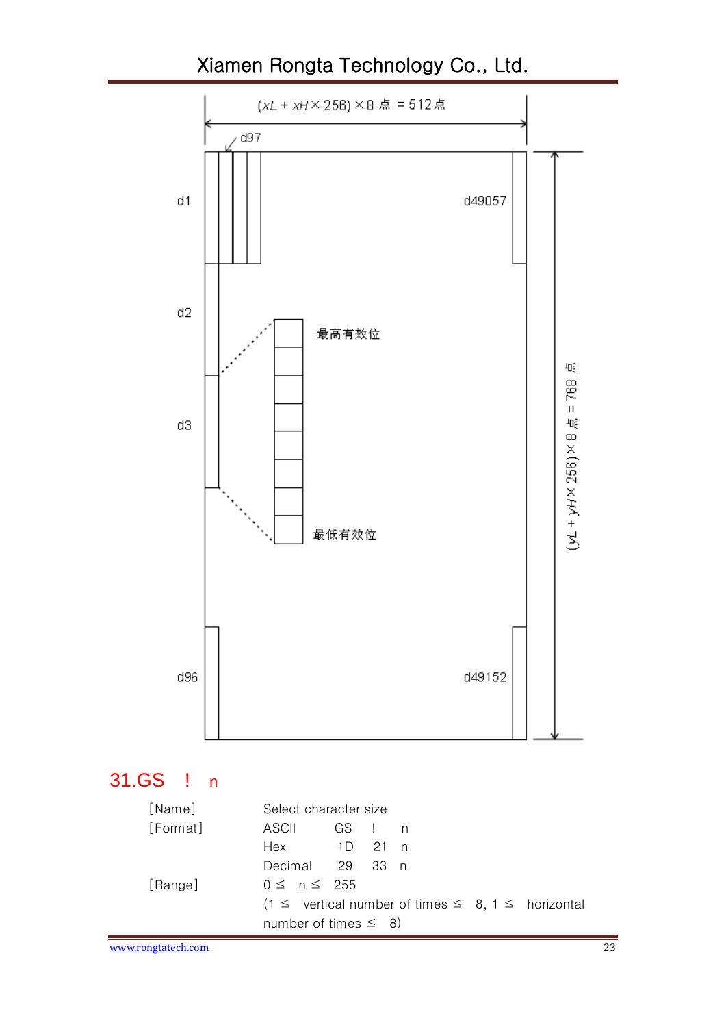

#### <span id="page-22-0"></span>31.GS ! n

| [Name]   | Select character size                                         |
|----------|---------------------------------------------------------------|
| [Format] | ASCII<br>GS!n                                                 |
|          | Hex 1D 21 n                                                   |
|          | Decimal 29 33 n                                               |
| [Range]  | $0 \le n \le 255$                                             |
|          | $(1 \le$ vertical number of times $\le$ 8, 1 $\le$ horizontal |
|          | number of times $\leq$ 8)                                     |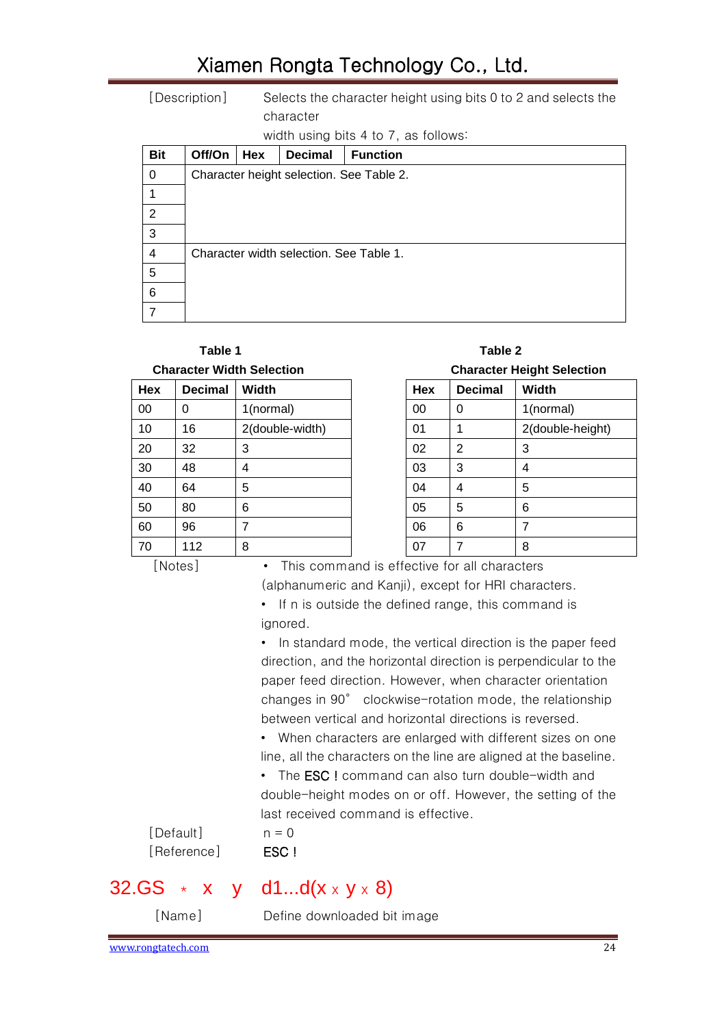[Description] Selects the character height using bits 0 to 2 and selects the character

width using bits 4 to 7, as follows:

| <b>Bit</b> | Off/On                                   | Hex | <b>Decimal</b> | <b>Function</b>                         |  |  |  |
|------------|------------------------------------------|-----|----------------|-----------------------------------------|--|--|--|
| 0          | Character height selection. See Table 2. |     |                |                                         |  |  |  |
|            |                                          |     |                |                                         |  |  |  |
| 2          |                                          |     |                |                                         |  |  |  |
| 3          |                                          |     |                |                                         |  |  |  |
| 4          |                                          |     |                | Character width selection. See Table 1. |  |  |  |
| 5          |                                          |     |                |                                         |  |  |  |
| 6          |                                          |     |                |                                         |  |  |  |
|            |                                          |     |                |                                         |  |  |  |

# Table 1 Table 2

| Hex | <b>Decimal</b> | <b>Width</b>    | Hex | <b>Decimal</b> | <b>Width</b>             |
|-----|----------------|-----------------|-----|----------------|--------------------------|
| 00  | 0              | 1(normal)       | 00  | 0              | 1(normal)                |
| 10  | 16             | 2(double-width) | 01  |                | 2(double-height)         |
| 20  | 32             | 3               | 02  | $\overline{2}$ | 3                        |
| 30  | 48             | 4               | 03  | 3              | 4                        |
| 40  | 64             | 5               | 04  | 4              | 5                        |
| 50  | 80             | 6               | 05  | 5              | 6                        |
| 60  | 96             | 7               | 06  | 6              | $\overline{\phantom{a}}$ |
| 70  | 112            | 8               | 07  |                | 8                        |

**Character Width Selection Character Height Selection**

| Hex | <b>Decimal</b> | Width            |
|-----|----------------|------------------|
| 00  | O              | 1(normal)        |
| 01  |                | 2(double-height) |
| 02  | 2              | 3                |
| 03  | 3              | 4                |
| 04  | 4              | 5                |
| 05  | 5              | 6                |
| 06  | 6              | 7                |
| 07  |                | 8                |

[Notes] • This command is effective for all characters (alphanumeric and Kanji), except for HRI characters.

> • If n is outside the defined range, this command is ignored.

• In standard mode, the vertical direction is the paper feed direction, and the horizontal direction is perpendicular to the paper feed direction. However, when character orientation changes in 90° clockwise-rotation mode, the relationship between vertical and horizontal directions is reversed.

• When characters are enlarged with different sizes on one line, all the characters on the line are aligned at the baseline.

• The **ESC!** command can also turn double-width and double-height modes on or off. However, the setting of the last received command is effective.

 $[Default]$   $n = 0$ [Reference] **ESC !** 

#### <span id="page-23-0"></span>32.GS  $\star$  x y d1...d( $x \times y \times 8$ )

[Name] Define downloaded bit image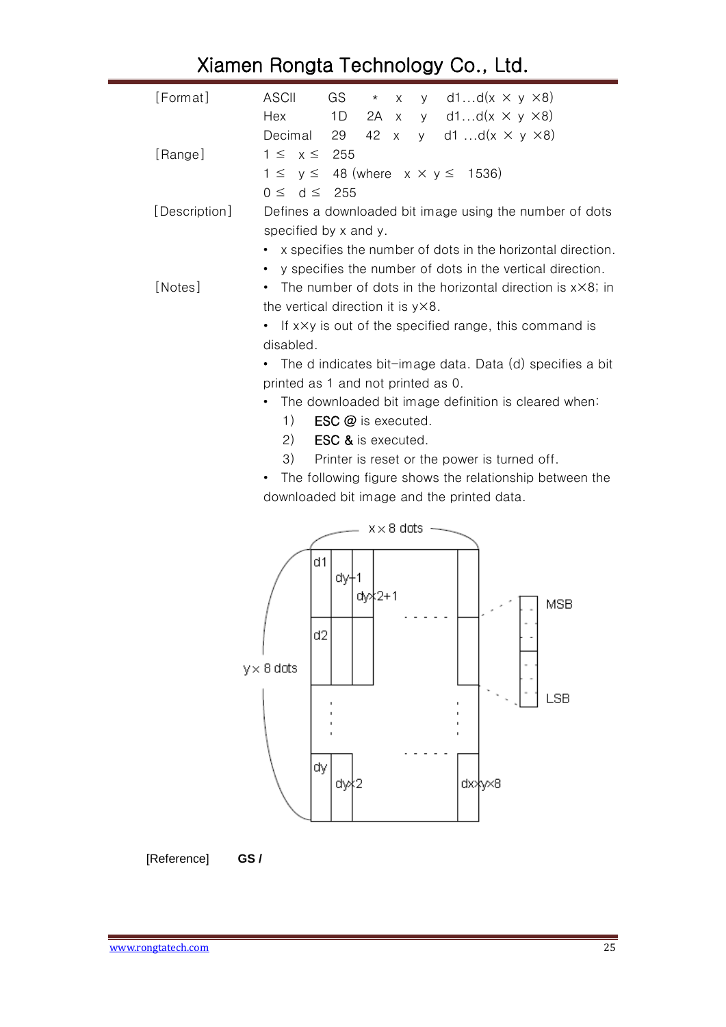| [Format]      | y d1d( $x \times y \times 8$ )<br><b>ASCII</b><br>GS<br>$\star$<br>X             |
|---------------|----------------------------------------------------------------------------------|
|               | x y d1d( $x \times y \times 8$ )<br>1D<br>Hex<br>2A                              |
|               | Decimal<br>42 x<br>y d1 d( $x \times y \times 8$ )<br>29                         |
| [Range]       | $1 \leq x \leq 255$                                                              |
|               | $1 \le y \le 48$ (where $x \times y \le 1536$ )                                  |
|               | $0 \le d \le 255$                                                                |
| [Description] | Defines a downloaded bit image using the number of dots<br>specified by x and y. |
|               | x specifies the number of dots in the horizontal direction.                      |
|               | y specifies the number of dots in the vertical direction.<br>$\bullet$           |
| [Notes]       | The number of dots in the horizontal direction is $x \times 8$ ; in              |
|               | the vertical direction it is y×8.                                                |
|               | If $x \times y$ is out of the specified range, this command is                   |
|               | disabled.                                                                        |
|               | The d indicates bit-image data. Data (d) specifies a bit                         |
|               | printed as 1 and not printed as 0.                                               |
|               | The downloaded bit image definition is cleared when:                             |
|               | 1)<br><b>ESC</b> @ is executed.                                                  |
|               | 2)<br><b>ESC &amp; is executed.</b>                                              |
|               | 3)<br>Printer is reset or the power is turned off.                               |
|               | The following figure shows the relationship between the                          |
|               | downloaded bit image and the printed data.                                       |
|               | $x \times 8$ dots                                                                |
|               |                                                                                  |
|               | d1                                                                               |
|               | dył1<br>dy): 2+1                                                                 |
|               | <b>MSB</b>                                                                       |
|               | d2                                                                               |
|               |                                                                                  |
|               | $y \times 8$ dots                                                                |
|               |                                                                                  |
|               | LSB                                                                              |
|               |                                                                                  |
|               | dy<br>dy∤2<br>dxxyx8                                                             |
|               |                                                                                  |

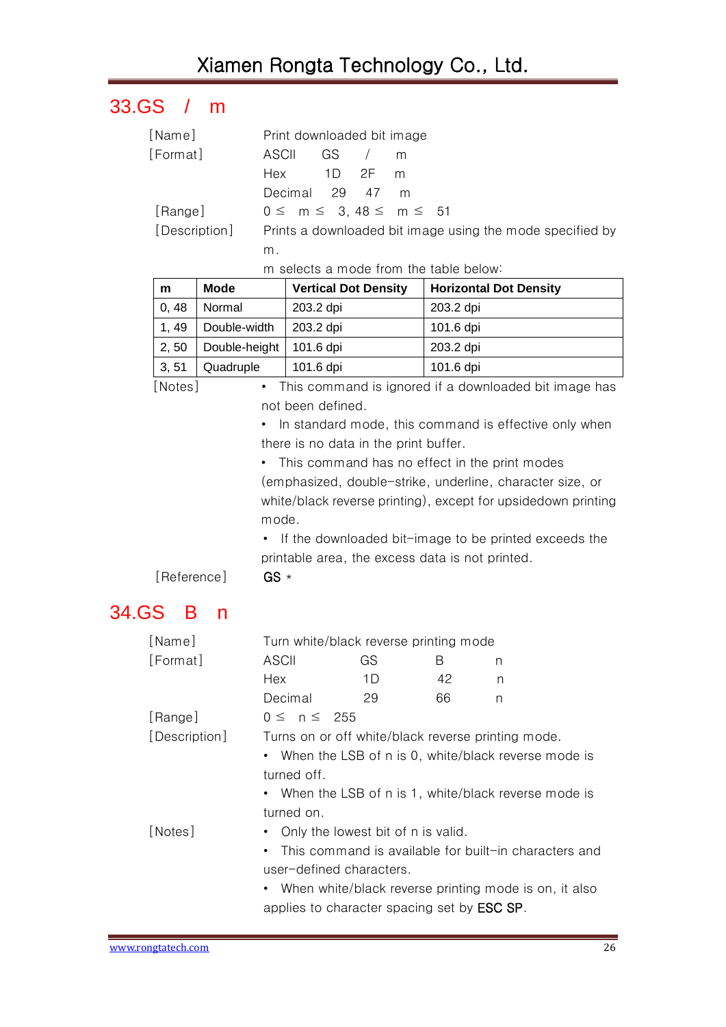# <span id="page-25-0"></span>33.GS / m

| [Name]   | Print downloaded bit image                                              |
|----------|-------------------------------------------------------------------------|
| [Format] | GS / m<br>ASCII                                                         |
|          | 1D $2F$ m<br>Hex                                                        |
|          | Decimal 29 47 m                                                         |
| [Range]  | $0 \le m \le 3, 48 \le m \le 51$                                        |
|          | [Description] Prints a downloaded bit image using the mode specified by |
|          |                                                                         |

m selects a mode from the table below:

| m     | Mode          | <b>Vertical Dot Density</b> | <b>Horizontal Dot Density</b> |
|-------|---------------|-----------------------------|-------------------------------|
| 0, 48 | Normal        | 203.2 dpi                   | 203.2 dpi                     |
| 1, 49 | Double-width  | 203.2 dpi                   | 101.6 dpi                     |
| 2, 50 | Double-height | 101.6 dpi                   | 203.2 dpi                     |
| 3, 51 | Quadruple     | 101.6 dpi                   | 101.6 dpi                     |

[Notes] • This command is ignored if a downloaded bit image has not been defined.

> • In standard mode, this command is effective only when there is no data in the print buffer.

• This command has no effect in the print modes (emphasized, double-strike, underline, character size, or white/black reverse printing), except for upsidedown printing mode.

• If the downloaded bit-image to be printed exceeds the printable area, the excess data is not printed.

[Reference] GS \*

#### <span id="page-25-1"></span>34.GS B n

| [Name]        | Turn white/black reverse printing mode                             |                                                       |    |   |  |  |
|---------------|--------------------------------------------------------------------|-------------------------------------------------------|----|---|--|--|
| [Format]      | ASCII                                                              | GS                                                    | В  | n |  |  |
|               | Hex                                                                | 1D.                                                   | 42 | n |  |  |
|               | Decimal                                                            | 29                                                    | 66 | n |  |  |
| [Range]       | $0 \leq n \leq 255$                                                |                                                       |    |   |  |  |
| [Description] | Turns on or off white/black reverse printing mode.                 |                                                       |    |   |  |  |
|               | $\bullet$                                                          | When the LSB of n is 0, white/black reverse mode is   |    |   |  |  |
|               | turned off.                                                        |                                                       |    |   |  |  |
|               | ٠                                                                  | When the LSB of n is 1, white/black reverse mode is   |    |   |  |  |
|               | turned on.                                                         |                                                       |    |   |  |  |
| [Notes]       |                                                                    | Only the lowest bit of n is valid.                    |    |   |  |  |
|               | $\bullet$                                                          | This command is available for built-in characters and |    |   |  |  |
|               | user-defined characters.                                           |                                                       |    |   |  |  |
|               | When white/black reverse printing mode is on, it also<br>$\bullet$ |                                                       |    |   |  |  |
|               | applies to character spacing set by <b>ESC SP</b> .                |                                                       |    |   |  |  |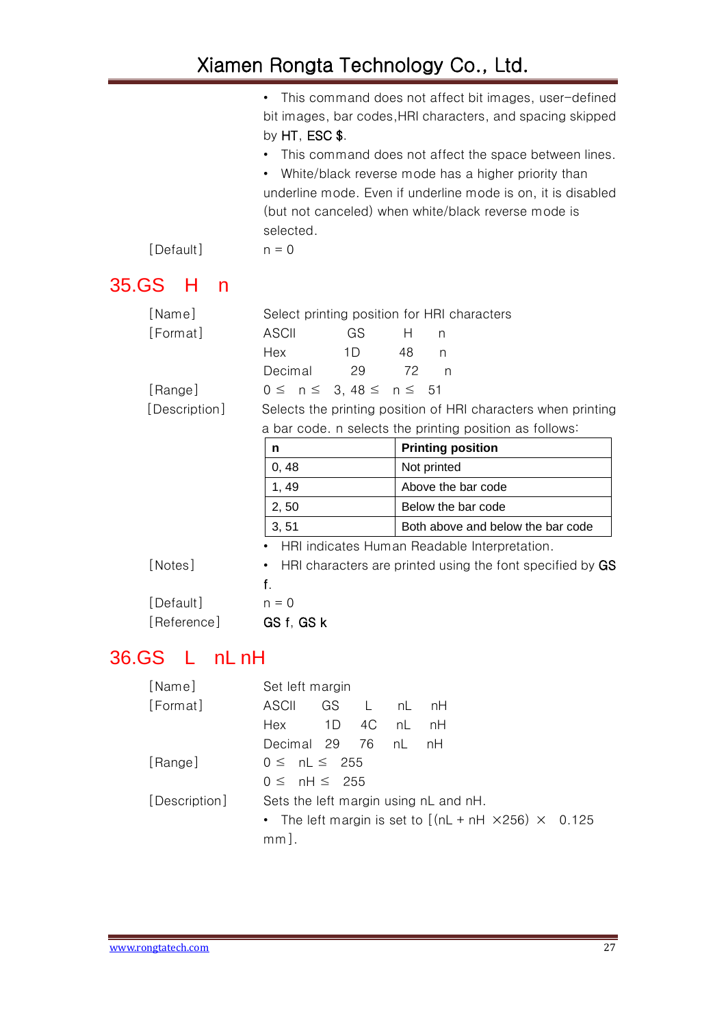<span id="page-26-0"></span>

| [Default]                | This command does not affect bit images, user-defined<br>bit images, bar codes, HRI characters, and spacing skipped<br>by $HT$ , $ESC$ \$.<br>• This command does not affect the space between lines.<br>White/black reverse mode has a higher priority than<br>underline mode. Even if underline mode is on, it is disabled<br>(but not canceled) when white/black reverse mode is<br>selected.<br>$n = 0$ |                                                           |  |  |  |
|--------------------------|-------------------------------------------------------------------------------------------------------------------------------------------------------------------------------------------------------------------------------------------------------------------------------------------------------------------------------------------------------------------------------------------------------------|-----------------------------------------------------------|--|--|--|
| 35.GS<br>н<br>n          |                                                                                                                                                                                                                                                                                                                                                                                                             |                                                           |  |  |  |
| [Name]<br>[Format]       | Select printing position for HRI characters<br><b>ASCII</b><br>GS<br>Hex<br>1D<br>Decimal<br>29                                                                                                                                                                                                                                                                                                             | Н<br>n<br>48<br>n<br>72<br>$\mathsf{n}$                   |  |  |  |
| [Range]<br>[Description] | $0 \leq n \leq$<br>$3, 48 \le$<br>$n \leq$<br>51<br>Selects the printing position of HRI characters when printing<br>a bar code. n selects the printing position as follows:                                                                                                                                                                                                                                |                                                           |  |  |  |
|                          | n                                                                                                                                                                                                                                                                                                                                                                                                           | <b>Printing position</b>                                  |  |  |  |
|                          | 0, 48                                                                                                                                                                                                                                                                                                                                                                                                       | Not printed                                               |  |  |  |
|                          | 1, 49                                                                                                                                                                                                                                                                                                                                                                                                       | Above the bar code                                        |  |  |  |
|                          | 2, 50                                                                                                                                                                                                                                                                                                                                                                                                       | Below the bar code                                        |  |  |  |
|                          | 3, 51                                                                                                                                                                                                                                                                                                                                                                                                       | Both above and below the bar code                         |  |  |  |
|                          |                                                                                                                                                                                                                                                                                                                                                                                                             | HRI indicates Human Readable Interpretation.              |  |  |  |
| [Notes]                  | $\bullet$<br>f.                                                                                                                                                                                                                                                                                                                                                                                             | HRI characters are printed using the font specified by GS |  |  |  |
| [Default]                | $n = 0$                                                                                                                                                                                                                                                                                                                                                                                                     |                                                           |  |  |  |
| [Reference]              | GS f, GS k                                                                                                                                                                                                                                                                                                                                                                                                  |                                                           |  |  |  |
| L nLnH<br>36.GS          |                                                                                                                                                                                                                                                                                                                                                                                                             |                                                           |  |  |  |
| [Name]<br>[Format]       | Set left margin<br><b>ASCII</b><br>GS<br>L                                                                                                                                                                                                                                                                                                                                                                  | nH<br>nL                                                  |  |  |  |

<span id="page-26-1"></span>

| . . <b>.</b>  |                                                                  |  |  |  |  |  |  |
|---------------|------------------------------------------------------------------|--|--|--|--|--|--|
| [Format]      | ASCII GS L nL nH                                                 |  |  |  |  |  |  |
|               | Hex 1D 4C nL nH                                                  |  |  |  |  |  |  |
|               | Decimal 29 76 nL nH                                              |  |  |  |  |  |  |
| [Range]       | $0 \leq nL \leq 255$                                             |  |  |  |  |  |  |
|               | $0 \leq nH \leq 255$                                             |  |  |  |  |  |  |
| [Description] | Sets the left margin using nL and nH.                            |  |  |  |  |  |  |
|               | • The left margin is set to $[(nL + nH \times 256) \times 0.125$ |  |  |  |  |  |  |
|               | $mm$ ].                                                          |  |  |  |  |  |  |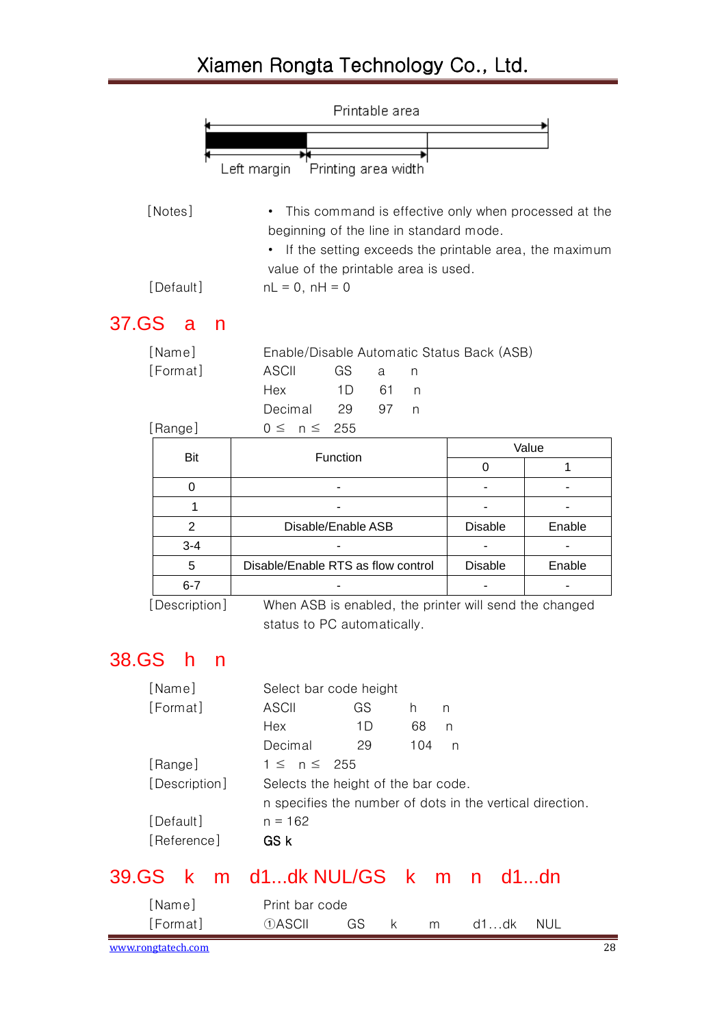<span id="page-27-2"></span><span id="page-27-1"></span><span id="page-27-0"></span>

|       | Printable area                |                                                                                                                                                                                                     |                |            |  |  |
|-------|-------------------------------|-----------------------------------------------------------------------------------------------------------------------------------------------------------------------------------------------------|----------------|------------|--|--|
|       |                               |                                                                                                                                                                                                     |                |            |  |  |
|       |                               |                                                                                                                                                                                                     |                |            |  |  |
|       |                               | Printing area width<br>Left margin                                                                                                                                                                  |                |            |  |  |
|       | [Notes]                       | This command is effective only when processed at the<br>beginning of the line in standard mode.<br>• If the setting exceeds the printable area, the maximum<br>value of the printable area is used. |                |            |  |  |
|       | [Default]                     | $nL = 0$ , $nH = 0$                                                                                                                                                                                 |                |            |  |  |
| 37.GS | a<br>n                        |                                                                                                                                                                                                     |                |            |  |  |
|       | [Name]<br>[Format]<br>[Range] | Enable/Disable Automatic Status Back (ASB)<br><b>ASCII</b><br>GS<br>a<br>n<br>Hex<br>1D<br>61<br>n<br>Decimal<br>29<br>97<br>n<br>255<br>$0 \leq n \leq$                                            |                |            |  |  |
|       | <b>Bit</b>                    | Function                                                                                                                                                                                            |                | Value      |  |  |
|       |                               |                                                                                                                                                                                                     | 0              | 1          |  |  |
|       | 0                             |                                                                                                                                                                                                     |                |            |  |  |
|       | 1                             |                                                                                                                                                                                                     |                |            |  |  |
|       | $\overline{2}$                | Disable/Enable ASB                                                                                                                                                                                  | <b>Disable</b> | Enable     |  |  |
|       | $3 - 4$                       |                                                                                                                                                                                                     |                |            |  |  |
|       | 5                             | Disable/Enable RTS as flow control                                                                                                                                                                  | <b>Disable</b> | Enable     |  |  |
|       | $6 - 7$                       |                                                                                                                                                                                                     |                |            |  |  |
|       | [Description]                 | When ASB is enabled, the printer will send the changed<br>status to PC automatically.                                                                                                               |                |            |  |  |
| 38.GS | h<br>n                        |                                                                                                                                                                                                     |                |            |  |  |
|       | [Name]<br>[Format]<br>[Range] | Select bar code height<br><b>ASCII</b><br>GS<br>h.<br>n<br>Hex<br>1D<br>68<br>Decimal<br>29<br>104<br>$1 \leq n \leq$<br>255                                                                        | n<br>n         |            |  |  |
|       | [Description]                 | Selects the height of the bar code.<br>n specifies the number of dots in the vertical direction.                                                                                                    |                |            |  |  |
|       | [Default]<br>[Reference]      | $n = 162$<br>GS k                                                                                                                                                                                   |                |            |  |  |
| 39.GS | k                             | m d1dk NUL/GS k m                                                                                                                                                                                   | n              | d1dn       |  |  |
|       | [Name]<br>[Format]            | Print bar code<br><b><i><u>OASCII</u></i></b><br>GS<br>k<br>m                                                                                                                                       | d1dk           | <b>NUL</b> |  |  |
|       | www.rongtatech.com            |                                                                                                                                                                                                     |                | 28         |  |  |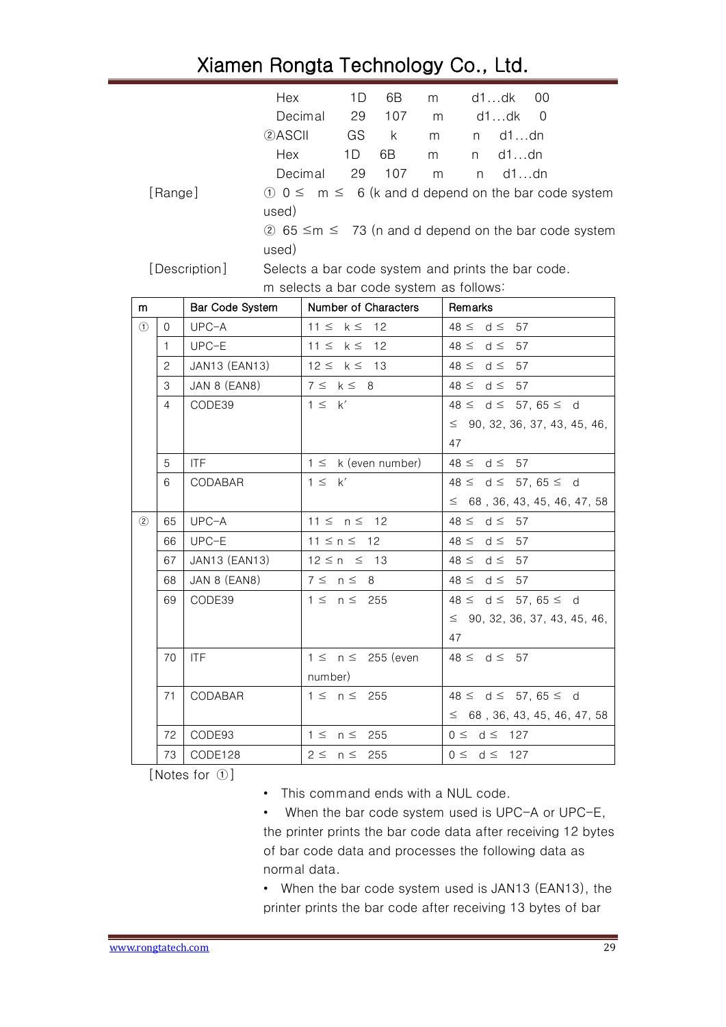|     |              | Hex             | 1D<br>6B<br>m                                      | d1…dk<br>00                                                         |
|-----|--------------|-----------------|----------------------------------------------------|---------------------------------------------------------------------|
|     |              |                 | Decimal<br>29<br>107<br>m                          | d1dk<br>$\Omega$                                                    |
|     |              | 2ASCII          | GS<br>k.<br>m                                      | $d1$ dn<br>n                                                        |
|     |              | Hex             | 1D<br>6B<br>m                                      | d1dn<br>n                                                           |
|     |              |                 | 107<br>Decimal<br>29<br>m                          | $d1$ dn<br>n.                                                       |
|     | [Range]      |                 |                                                    | $\theta$ 0 $\leq$ m $\leq$ 6 (k and d depend on the bar code system |
|     |              | used)           |                                                    |                                                                     |
|     |              |                 |                                                    | 2 65 ≤m ≤ 73 (n and d depend on the bar code system                 |
|     |              | used)           |                                                    |                                                                     |
|     |              | [Description]   | Selects a bar code system and prints the bar code. |                                                                     |
|     |              |                 | m selects a bar code system as follows:            |                                                                     |
| m   |              | Bar Code System | Number of Characters                               | Remarks                                                             |
| (1) | 0            | UPC-A           | $11 \leq k \leq$<br>12                             | $48 \le d \le$<br>57                                                |
|     | $\mathbf{1}$ | UPC-E           | $11 \leq$<br>$k \leq$<br>12                        | $48 \le d \le$<br>57                                                |
|     | 2            | JAN13 (EAN13)   | $12 \leq k \leq$<br>13                             | $48 \le d \le$<br>57                                                |
|     | 3            | JAN 8 (EAN8)    | $7 \leq k \leq 8$                                  | $48 \le d \le$<br>57                                                |
|     | 4            | CODE39          | $1 \leq k'$                                        | $48 \le d \le 57, 65 \le d$                                         |
|     |              |                 |                                                    | $\leq$ 90, 32, 36, 37, 43, 45, 46,                                  |
|     |              |                 |                                                    | 47                                                                  |
|     | 5            | <b>ITF</b>      | $1 \leq k$ (even number)                           | $48 \le d \le$<br>57                                                |
|     | 6            | CODABAR         | $1 \leq k'$                                        | $48 \le d \le 57, 65 \le d$                                         |
|     |              |                 |                                                    | $\leq$ 68, 36, 43, 45, 46, 47, 58                                   |
| (2) | 65           | $UPC-A$         | $11 \le n \le$<br>12                               | $48 \le d \le$<br>57                                                |
|     | 66           | UPC-E           | $11 \le n \le 12$                                  | $48 \le d \le$<br>57                                                |
|     | 67           | JAN13 (EAN13)   | $12 \le n \le 13$                                  | $48 \leq$<br>$d \leq$<br>57                                         |
|     | 68           | JAN 8 (EAN8)    | $7 \leq n \leq 8$                                  | $48 \le d \le$<br>57                                                |
|     | 69           | CODE39          | $1 \leq$<br>$n \leq$<br>255                        | $48 \le d \le 57, 65 \le d$                                         |
|     |              |                 |                                                    | 90, 32, 36, 37, 43, 45, 46,<br>$\leq$                               |
|     |              |                 |                                                    | 47                                                                  |
|     | 70           | <b>ITF</b>      | $1 \leq n \leq 255$ (even                          | $48 \leq d \leq 57$                                                 |
|     |              |                 | number)                                            |                                                                     |
|     | 71           | CODABAR         | $1 \leq n \leq 255$                                | $48 \le d \le 57, 65 \le d$                                         |
|     |              |                 |                                                    | $\leq$ 68, 36, 43, 45, 46, 47, 58                                   |
|     | 72           | CODE93          | $1 \leq n \leq 255$                                | $0 \le d \le 127$                                                   |
|     | 73           | CODE128         | $2 \leq n \leq$<br>255                             | $0 \le d \le 127$                                                   |

[Notes for ①]

• This command ends with a NUL code.

• When the bar code system used is UPC-A or UPC-E, the printer prints the bar code data after receiving 12 bytes of bar code data and processes the following data as normal data.

• When the bar code system used is JAN13 (EAN13), the printer prints the bar code after receiving 13 bytes of bar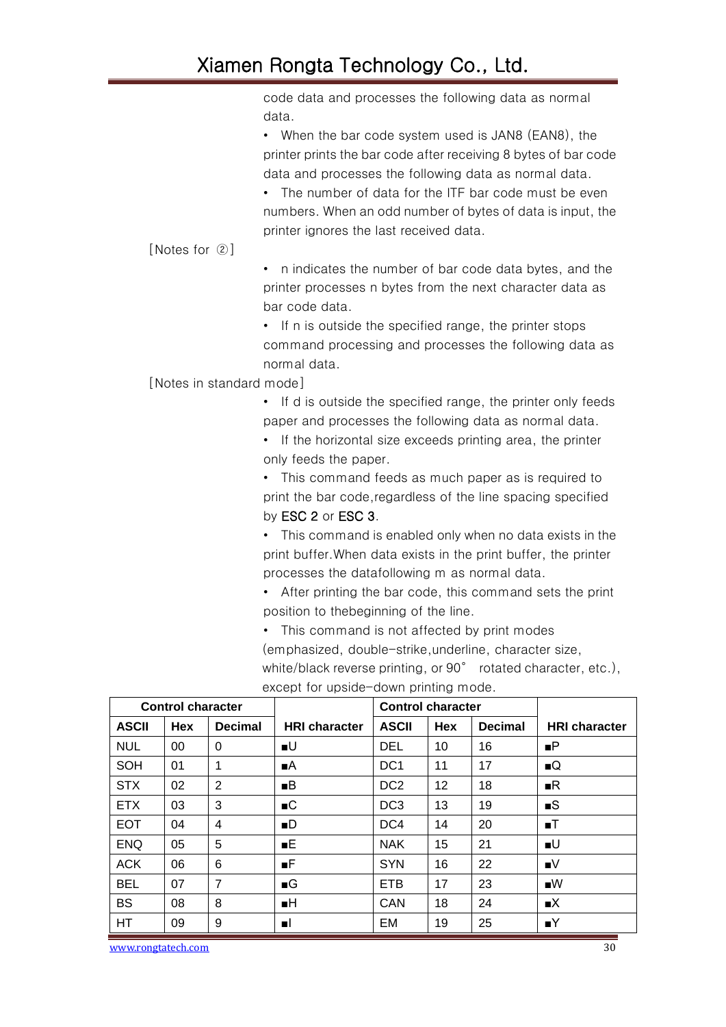code data and processes the following data as normal data. • When the bar code system used is JAN8 (EAN8), the printer prints the bar code after receiving 8 bytes of bar code data and processes the following data as normal data. • The number of data for the ITF bar code must be even numbers. When an odd number of bytes of data is input, the printer ignores the last received data. [Notes for ②] • n indicates the number of bar code data bytes, and the printer processes n bytes from the next character data as bar code data. • If n is outside the specified range, the printer stops command processing and processes the following data as normal data. [Notes in standard mode] • If d is outside the specified range, the printer only feeds paper and processes the following data as normal data. • If the horizontal size exceeds printing area, the printer only feeds the paper. • This command feeds as much paper as is required to print the bar code,regardless of the line spacing specified by ESC 2 or ESC 3. • This command is enabled only when no data exists in the print buffer.When data exists in the print buffer, the printer processes the datafollowing m as normal data. • After printing the bar code, this command sets the print position to thebeginning of the line.

> • This command is not affected by print modes (emphasized, double-strike,underline, character size, white/black reverse printing, or 90° rotated character, etc.),

|              | <b>Control character</b> |                |                      | <b>Control character</b> |            |                |                      |
|--------------|--------------------------|----------------|----------------------|--------------------------|------------|----------------|----------------------|
| <b>ASCII</b> | <b>Hex</b>               | <b>Decimal</b> | <b>HRI</b> character | <b>ASCII</b>             | <b>Hex</b> | <b>Decimal</b> | <b>HRI</b> character |
| <b>NUL</b>   | 00                       | $\Omega$       | $\blacksquare$       | <b>DEL</b>               | 10         | 16             | $\blacksquare$       |
| <b>SOH</b>   | 01                       | 1              | ∎A.                  | DC <sub>1</sub>          | 11         | 17             | $\blacksquare$       |
| <b>STX</b>   | 02                       | 2              | B                    | DC <sub>2</sub>          | 12         | 18             | R                    |
| <b>ETX</b>   | 03                       | 3              | $\blacksquare$       | DC <sub>3</sub>          | 13         | 19             | $\blacksquare$       |
| <b>EOT</b>   | 04                       | 4              | $\blacksquare$       | DC4                      | 14         | 20             | $\blacksquare$       |
| <b>ENQ</b>   | 05                       | 5              | E                    | <b>NAK</b>               | 15         | 21             | $\blacksquare$       |
| <b>ACK</b>   | 06                       | 6              | F                    | <b>SYN</b>               | 16         | 22             | $\blacksquare$       |
| <b>BEL</b>   | 07                       | $\overline{7}$ | $\blacksquare$       | <b>ETB</b>               | 17         | 23             | $\blacksquare$       |
| <b>BS</b>    | 08                       | 8              | H                    | <b>CAN</b>               | 18         | 24             | $\blacksquare$       |
| HТ           | 09                       | 9              | пL                   | EM                       | 19         | 25             | $\blacksquare$       |

except for upside-down printing mode.

www.rongtatech.com 30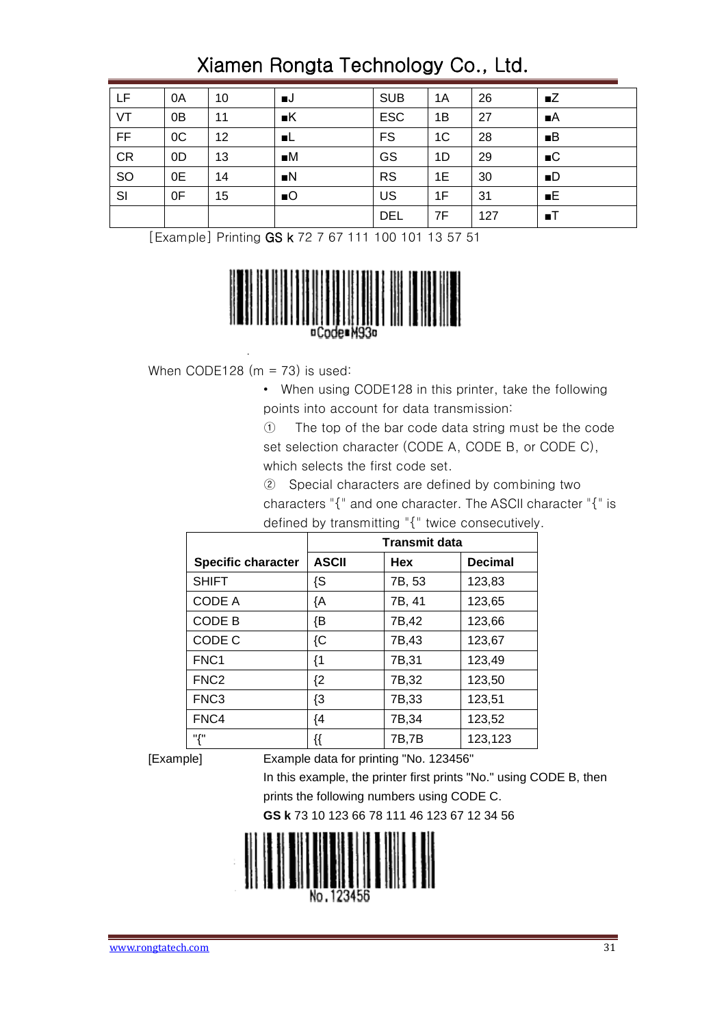| LF        | 0A | 10 | ∎J.              | <b>SUB</b> | 1A             | 26  | $\blacksquare$ |
|-----------|----|----|------------------|------------|----------------|-----|----------------|
| VT        | 0B | 11 | K                | <b>ESC</b> | 1B             | 27  | $\blacksquare$ |
| F         | OC | 12 | - L              | <b>FS</b>  | 1 <sup>C</sup> | 28  | B              |
| <b>CR</b> | 0D | 13 | $\blacksquare M$ | GS         | 1D             | 29  | $\blacksquare$ |
| SO        | 0E | 14 | $\blacksquare$   | <b>RS</b>  | 1E             | 30  | $\blacksquare$ |
| SI        | 0F | 15 | $\blacksquare$   | US         | 1F             | 31  | E              |
|           |    |    |                  | <b>DEL</b> | 7F             | 127 | $\blacksquare$ |

[Example] Printing GS k 72 7 67 111 100 101 13 57 51



When CODE128  $(m = 73)$  is used:

- When using CODE128 in this printer, take the following points into account for data transmission:
- ① The top of the bar code data string must be the code set selection character (CODE A, CODE B, or CODE C), which selects the first code set.
- ② Special characters are defined by combining two characters "{" and one character. The ASCII character "{" is defined by transmitting "{" twice consecutively.

|                           | <b>Transmit data</b> |        |                |  |  |
|---------------------------|----------------------|--------|----------------|--|--|
| <b>Specific character</b> | <b>ASCII</b>         | Hex    | <b>Decimal</b> |  |  |
| <b>SHIFT</b>              | {S                   | 7B, 53 | 123,83         |  |  |
| <b>CODE A</b>             | łΑ                   | 7B, 41 | 123,65         |  |  |
| CODE B                    | {B                   | 7B,42  | 123,66         |  |  |
| CODE C                    | ${C}$                | 7B,43  | 123,67         |  |  |
| FNC <sub>1</sub>          | {1                   | 7B,31  | 123,49         |  |  |
| FNC <sub>2</sub>          | $\{2\}$              | 7B,32  | 123,50         |  |  |
| FNC <sub>3</sub>          | $\{3$                | 7B,33  | 123,51         |  |  |
| FNC4                      | ${4}$                | 7B,34  | 123,52         |  |  |
| "{"                       | {{                   | 7B,7B  | 123,123        |  |  |

[Example] Example data for printing "No. 123456"

In this example, the printer first prints "No." using CODE B, then prints the following numbers using CODE C.

**GS k** 73 10 123 66 78 111 46 123 67 12 34 56

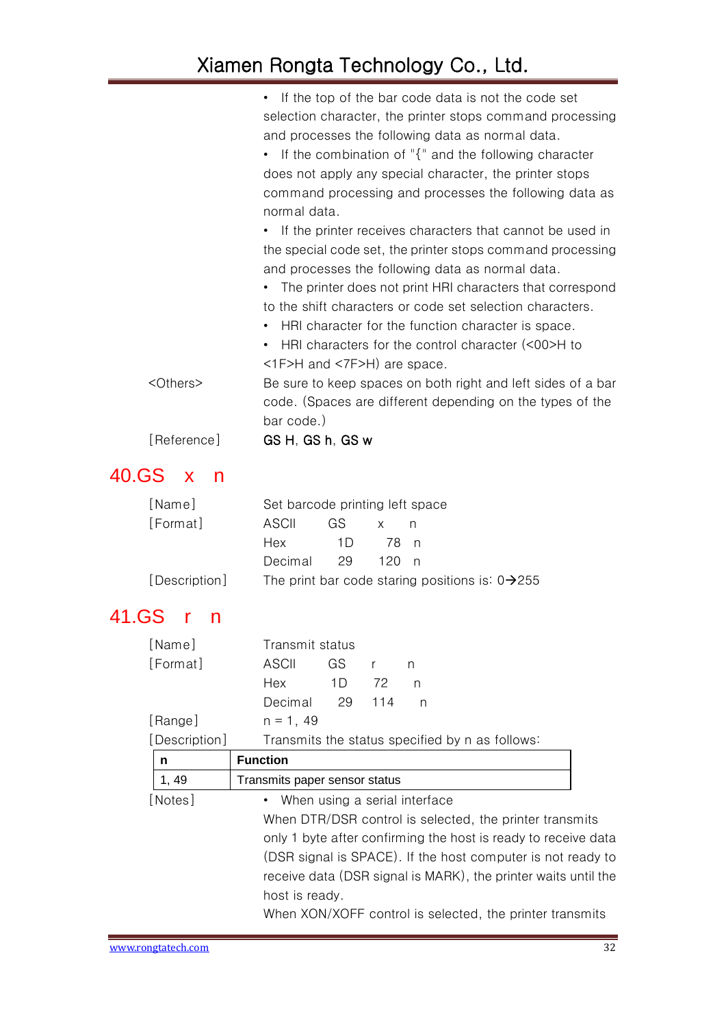|                   | If the top of the bar code data is not the code set          |
|-------------------|--------------------------------------------------------------|
|                   | selection character, the printer stops command processing    |
|                   | and processes the following data as normal data.             |
|                   | • If the combination of "{" and the following character      |
|                   | does not apply any special character, the printer stops      |
|                   | command processing and processes the following data as       |
|                   | normal data.                                                 |
|                   | • If the printer receives characters that cannot be used in  |
|                   | the special code set, the printer stops command processing   |
|                   | and processes the following data as normal data.             |
|                   | The printer does not print HRI characters that correspond    |
|                   | to the shift characters or code set selection characters.    |
|                   | HRI character for the function character is space.           |
|                   | HRI characters for the control character (<00>H to           |
|                   | $\langle$ 1F>H and $\langle$ 7F>H) are space.                |
| <others></others> | Be sure to keep spaces on both right and left sides of a bar |
|                   | code. (Spaces are different depending on the types of the    |
|                   | bar code.)                                                   |
| [Reference]       | GS H, GS h, GS w                                             |

### <span id="page-31-0"></span>40.GS x n

| [Name]        | Set barcode printing left space |      |         |                                                             |  |  |
|---------------|---------------------------------|------|---------|-------------------------------------------------------------|--|--|
| [Format]      | ASCII                           | GS - |         |                                                             |  |  |
|               | Hex                             | 11)  | 78 n    |                                                             |  |  |
|               | Decimal 29                      |      | - 120 n |                                                             |  |  |
| [Description] |                                 |      |         | The print bar code staring positions is: $0\rightarrow 255$ |  |  |

## <span id="page-31-1"></span>41.GS r n

| [Name]         | Transmit status                                                |  |  |  |  |  |
|----------------|----------------------------------------------------------------|--|--|--|--|--|
| [Format]       | ASCII<br>GS.<br>$\mathsf{r}$<br>n                              |  |  |  |  |  |
|                | Hex<br>1D<br>72<br>n                                           |  |  |  |  |  |
|                | Decimal<br>29<br>114<br>n                                      |  |  |  |  |  |
| [Range]        | $n = 1, 49$                                                    |  |  |  |  |  |
| [Description]  | Transmits the status specified by n as follows:                |  |  |  |  |  |
| n              | <b>Function</b>                                                |  |  |  |  |  |
| 1, 49          | Transmits paper sensor status                                  |  |  |  |  |  |
| [Notes]        | • When using a serial interface                                |  |  |  |  |  |
|                | When DTR/DSR control is selected, the printer transmits        |  |  |  |  |  |
|                | only 1 byte after confirming the host is ready to receive data |  |  |  |  |  |
|                | (DSR signal is SPACE). If the host computer is not ready to    |  |  |  |  |  |
|                | receive data (DSR signal is MARK), the printer waits until the |  |  |  |  |  |
| host is ready. |                                                                |  |  |  |  |  |
|                | When XON/XOFF control is selected, the printer transmits       |  |  |  |  |  |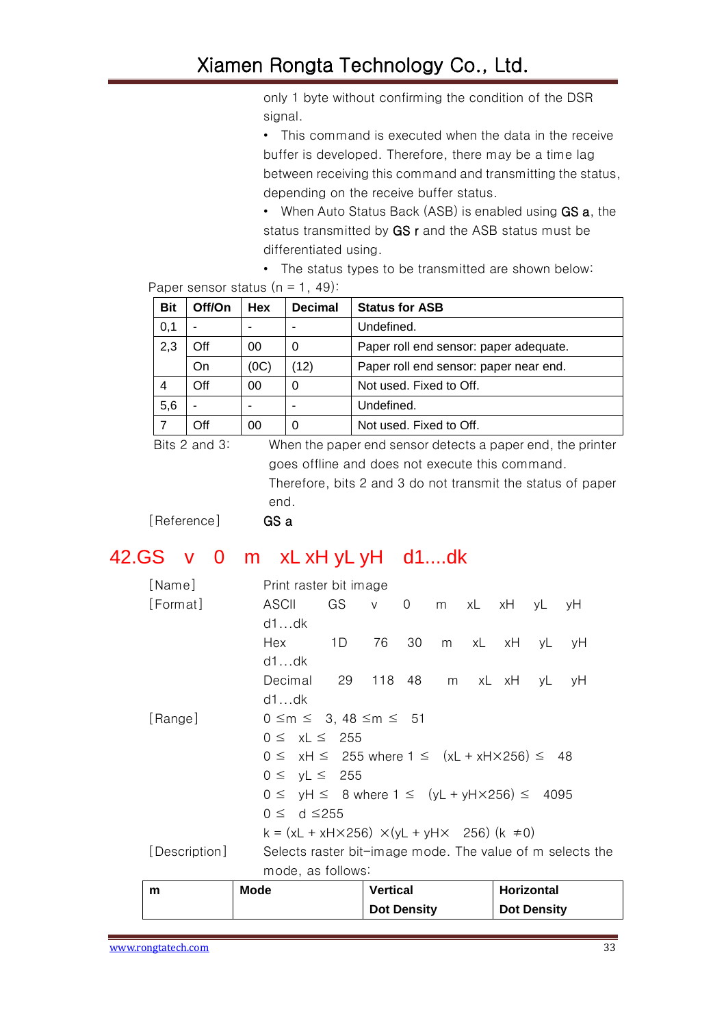only 1 byte without confirming the condition of the DSR signal.

• This command is executed when the data in the receive buffer is developed. Therefore, there may be a time lag between receiving this command and transmitting the status, depending on the receive buffer status.

- When Auto Status Back (ASB) is enabled using **GS a**, the status transmitted by GS r and the ASB status must be differentiated using.
- The status types to be transmitted are shown below:

Paper sensor status  $(n = 1, 49)$ :

| <b>Bit</b> | Off/On | Hex  | <b>Decimal</b> | <b>Status for ASB</b>                  |
|------------|--------|------|----------------|----------------------------------------|
| 0,1        |        |      | -              | Undefined.                             |
| 2,3        | Off    | 00   | 0              | Paper roll end sensor: paper adequate. |
|            | On     | (0C) | (12)           | Paper roll end sensor: paper near end. |
| 4          | Off    | 00   | 0              | Not used. Fixed to Off.                |
| 5,6        | ۰      |      |                | Undefined.                             |
| 7          | Off    | 00   | 0              | Not used. Fixed to Off.                |

Bits 2 and 3: When the paper end sensor detects a paper end, the printer goes offline and does not execute this command. Therefore, bits 2 and 3 do not transmit the status of paper end.

[Reference] GSa

#### <span id="page-32-0"></span>42.GS v 0 m xL xH yL yH d1....dk

| [Name]        | Print raster bit image                                            |                 |  |                  |            |    |
|---------------|-------------------------------------------------------------------|-----------------|--|------------------|------------|----|
| [Format]      | ASCII<br>GS                                                       | $V$ 0           |  | m xL xH yL       |            | vH |
|               | d1dk                                                              |                 |  |                  |            |    |
|               | 1D<br>Hex                                                         | 76              |  | 30 m xL xH yL yH |            |    |
|               | d1dk                                                              |                 |  |                  |            |    |
|               | Decimal<br>29 118 48                                              |                 |  | m xL xH yL       |            | уH |
|               | d1dk                                                              |                 |  |                  |            |    |
| [Range]       | $0 \le m \le 3, 48 \le m \le 51$                                  |                 |  |                  |            |    |
|               | $0 \leq xL \leq 255$                                              |                 |  |                  |            |    |
|               | $0 \le xH \le 255$ where $1 \le (xL + xH \times 256) \le 48$      |                 |  |                  |            |    |
|               | $0 \le yL \le 255$                                                |                 |  |                  |            |    |
|               | $0 \le yH \le 8$ where $1 \le (yL + yH \times 256) \le 4095$      |                 |  |                  |            |    |
|               | $0 \le d \le 255$                                                 |                 |  |                  |            |    |
|               | $k = (xL + xH \times 256) \times (yL + yH \times 256) (k \neq 0)$ |                 |  |                  |            |    |
| [Description] | Selects raster bit-image mode. The value of m selects the         |                 |  |                  |            |    |
|               | mode, as follows:                                                 |                 |  |                  |            |    |
| m             | <b>Mode</b>                                                       | <b>Vertical</b> |  |                  | Horizontal |    |

**Dot Density**

**Dot Density**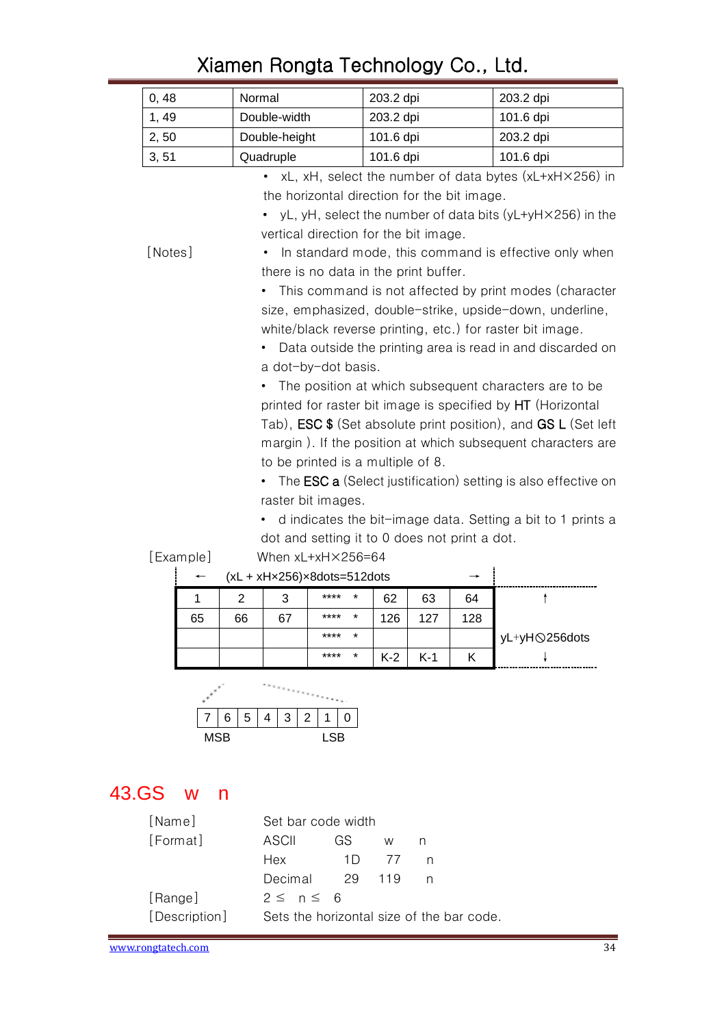|           | 0, 48                            | Normal                                                                                                                |               |                                               | 203.2 dpi |     |     | 203.2 dpi                                                                    |  |  |  |
|-----------|----------------------------------|-----------------------------------------------------------------------------------------------------------------------|---------------|-----------------------------------------------|-----------|-----|-----|------------------------------------------------------------------------------|--|--|--|
|           | 1, 49                            |                                                                                                                       | Double-width  |                                               | 203.2 dpi |     |     | 101.6 dpi                                                                    |  |  |  |
|           | 2, 50                            |                                                                                                                       | Double-height |                                               | 101.6 dpi |     |     | 203.2 dpi                                                                    |  |  |  |
|           | 3, 51                            |                                                                                                                       | Quadruple     |                                               | 101.6 dpi |     |     | 101.6 dpi                                                                    |  |  |  |
|           |                                  |                                                                                                                       |               |                                               |           |     |     | $xL$ , $xH$ , select the number of data bytes ( $xL+xH\times256$ ) in        |  |  |  |
|           |                                  | the horizontal direction for the bit image.                                                                           |               |                                               |           |     |     |                                                                              |  |  |  |
|           |                                  | • yL, yH, select the number of data bits (yL+yH $\times$ 256) in the                                                  |               |                                               |           |     |     |                                                                              |  |  |  |
|           |                                  | vertical direction for the bit image.                                                                                 |               |                                               |           |     |     |                                                                              |  |  |  |
|           | [Notes]                          |                                                                                                                       |               |                                               |           |     |     | In standard mode, this command is effective only when                        |  |  |  |
|           |                                  |                                                                                                                       |               | there is no data in the print buffer.         |           |     |     |                                                                              |  |  |  |
|           |                                  |                                                                                                                       |               |                                               |           |     |     | This command is not affected by print modes (character                       |  |  |  |
|           |                                  |                                                                                                                       |               |                                               |           |     |     |                                                                              |  |  |  |
|           |                                  | size, emphasized, double-strike, upside-down, underline,<br>white/black reverse printing, etc.) for raster bit image. |               |                                               |           |     |     |                                                                              |  |  |  |
|           |                                  |                                                                                                                       |               |                                               |           |     |     | Data outside the printing area is read in and discarded on                   |  |  |  |
|           |                                  |                                                                                                                       |               | a dot-by-dot basis.                           |           |     |     |                                                                              |  |  |  |
|           |                                  |                                                                                                                       |               |                                               |           |     |     | The position at which subsequent characters are to be                        |  |  |  |
|           |                                  |                                                                                                                       |               |                                               |           |     |     | printed for raster bit image is specified by HT (Horizontal                  |  |  |  |
|           |                                  |                                                                                                                       |               |                                               |           |     |     | Tab), <b>ESC \$</b> (Set absolute print position), and <b>GS L</b> (Set left |  |  |  |
|           |                                  |                                                                                                                       |               |                                               |           |     |     | margin). If the position at which subsequent characters are                  |  |  |  |
|           |                                  |                                                                                                                       |               | to be printed is a multiple of 8.             |           |     |     |                                                                              |  |  |  |
|           |                                  |                                                                                                                       |               |                                               |           |     |     | The <b>ESC a</b> (Select justification) setting is also effective on         |  |  |  |
|           |                                  |                                                                                                                       |               | raster bit images.                            |           |     |     |                                                                              |  |  |  |
|           |                                  |                                                                                                                       |               |                                               |           |     |     | d indicates the bit-image data. Setting a bit to 1 prints a                  |  |  |  |
|           |                                  |                                                                                                                       |               | dot and setting it to 0 does not print a dot. |           |     |     |                                                                              |  |  |  |
|           | [Example]                        |                                                                                                                       |               | When xL+xH×256=64                             |           |     |     |                                                                              |  |  |  |
|           |                                  |                                                                                                                       |               | $(xL + xHx256)x8dots=512dots$                 |           |     |     |                                                                              |  |  |  |
|           | 1                                | 2                                                                                                                     | 3             |                                               | 62        | 63  | 64  | ↑                                                                            |  |  |  |
|           | 65                               | 66                                                                                                                    | 67            | ****                                          | 126       | 127 | 128 |                                                                              |  |  |  |
| ****<br>* |                                  |                                                                                                                       |               |                                               |           |     |     | yL+yHQ256dots                                                                |  |  |  |
|           | ****<br>*<br>$K-2$<br>$K-1$<br>Κ |                                                                                                                       |               |                                               |           |     |     |                                                                              |  |  |  |
|           |                                  |                                                                                                                       |               |                                               |           |     |     |                                                                              |  |  |  |
|           |                                  |                                                                                                                       |               |                                               |           |     |     |                                                                              |  |  |  |
|           |                                  | 5<br>6                                                                                                                | 3<br>4        | 2<br>1<br>0                                   |           |     |     |                                                                              |  |  |  |
|           |                                  | <b>MSB</b>                                                                                                            |               | <b>LSB</b>                                    |           |     |     |                                                                              |  |  |  |
|           |                                  |                                                                                                                       |               |                                               |           |     |     |                                                                              |  |  |  |

#### <span id="page-33-0"></span>43.GS w n

| [Name]        |                                           | Set bar code width |     |   |  |  |  |
|---------------|-------------------------------------------|--------------------|-----|---|--|--|--|
| [Format]      | ASCIL                                     | GS                 | W   | n |  |  |  |
|               | Hex                                       | 11)                |     | n |  |  |  |
|               | Decimal                                   | 29                 | 119 | n |  |  |  |
| [Range]       | $2 \leq n \leq 6$                         |                    |     |   |  |  |  |
| [Description] | Sets the horizontal size of the bar code. |                    |     |   |  |  |  |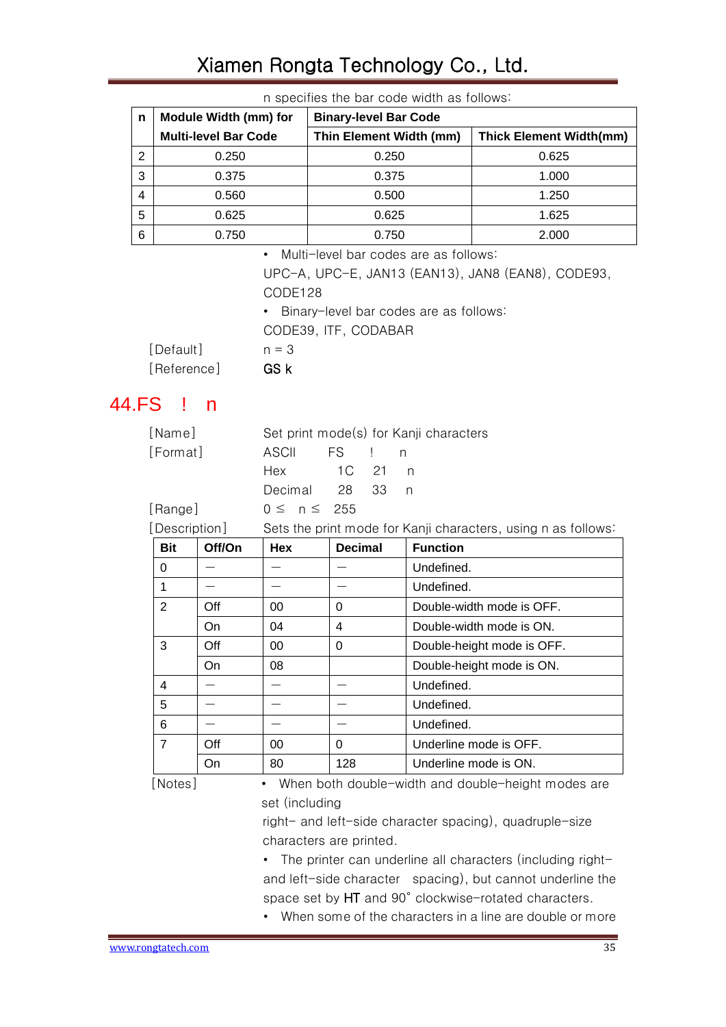|   | IT OPCOTICS THE DUIT OUGH WIGHT US TUITUWS. |                              |                                |  |  |  |  |  |  |  |  |
|---|---------------------------------------------|------------------------------|--------------------------------|--|--|--|--|--|--|--|--|
| n | Module Width (mm) for                       | <b>Binary-level Bar Code</b> |                                |  |  |  |  |  |  |  |  |
|   | <b>Multi-level Bar Code</b>                 | Thin Element Width (mm)      | <b>Thick Element Width(mm)</b> |  |  |  |  |  |  |  |  |
| 2 | 0.250                                       | 0.250                        | 0.625                          |  |  |  |  |  |  |  |  |
| 3 | 0.375                                       | 0.375                        | 1.000                          |  |  |  |  |  |  |  |  |
| 4 | 0.560                                       | 0.500                        | 1.250                          |  |  |  |  |  |  |  |  |
| 5 | 0.625                                       | 0.625                        | 1.625                          |  |  |  |  |  |  |  |  |
| 6 | 0.750                                       | 0.750                        | 2.000                          |  |  |  |  |  |  |  |  |

n specifies the bar code width as follows:

• Multi-level bar codes are as follows:

UPC-A, UPC-E, JAN13 (EAN13), JAN8 (EAN8), CODE93, CODE128

• Binary-level bar codes are as follows:

CODE39, ITF, CODABAR

[Default] n = 3 [Reference] **GS k** 

#### <span id="page-34-0"></span>44.FS ! n

| [Name]        |                     |          |  | Set print mode(s) for Kanji characters                        |
|---------------|---------------------|----------|--|---------------------------------------------------------------|
| [Format]      | ASCII FS ! n        |          |  |                                                               |
|               | Hex                 | 1 C 21 n |  |                                                               |
|               | Decimal 28 33 n     |          |  |                                                               |
| [Range]       | $0 \leq n \leq 255$ |          |  |                                                               |
| [Description] |                     |          |  | Sets the print mode for Kanji characters, using n as follows: |

| <b>Bit</b>     | Off/On | <b>Hex</b> | <b>Decimal</b> | <b>Function</b>            |
|----------------|--------|------------|----------------|----------------------------|
| 0              |        |            |                | Undefined.                 |
| 1              |        |            |                | Undefined.                 |
| $\overline{2}$ | Off    | 00         | 0              | Double-width mode is OFF.  |
|                | On     | 04         | 4              | Double-width mode is ON.   |
| 3              | Off    | 00         | 0              | Double-height mode is OFF. |
|                | On     | 08         |                | Double-height mode is ON.  |
| 4              |        |            |                | Undefined.                 |
| 5              |        |            |                | Undefined.                 |
| 6              |        |            |                | Undefined.                 |
| $\overline{7}$ | Off    | 00         | 0              | Underline mode is OFF.     |
|                | On     | 80         | 128            | Underline mode is ON.      |

[Notes] • When both double-width and double-height modes are set (including

> right- and left-side character spacing), quadruple-size characters are printed.

- The printer can underline all characters (including rightand left-side character spacing), but cannot underline the space set by HT and 90° clockwise-rotated characters.
- When some of the characters in a line are double or more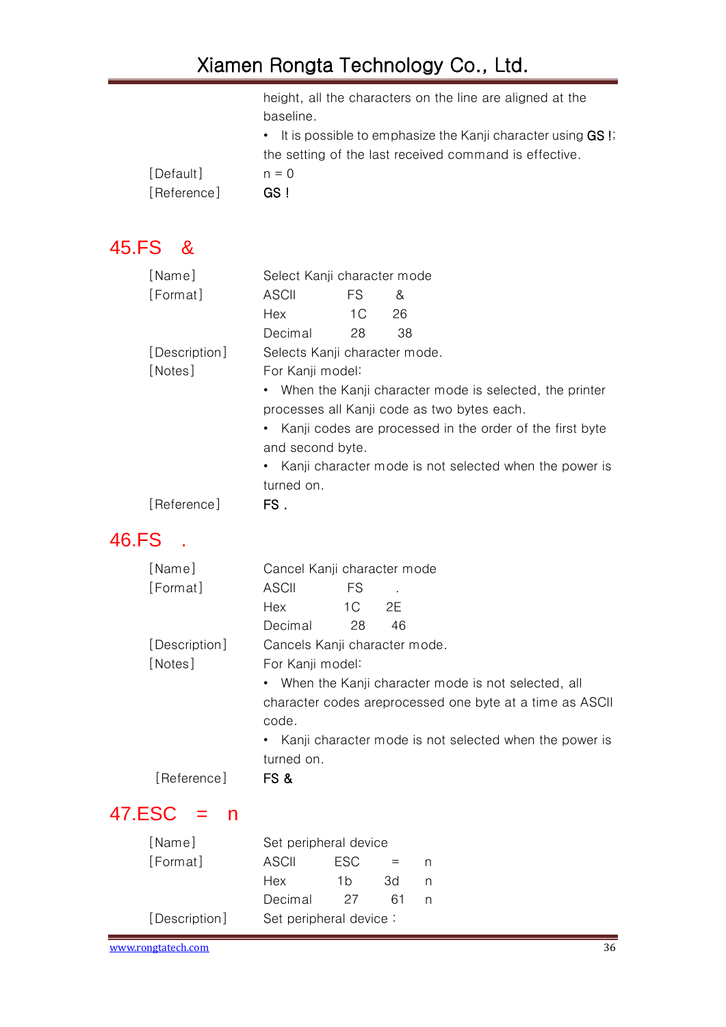height, all the characters on the line are aligned at the baseline.

|           | • It is possible to emphasize the Kanji character using GS I; |
|-----------|---------------------------------------------------------------|
|           | the setting of the last received command is effective.        |
| [Default] | $n = 0$                                                       |
| Reference | GS !                                                          |
|           |                                                               |

#### <span id="page-35-0"></span>45.FS &

| ASCII                                                    | FS. | &                                    |                                                                                                                                                                                        |  |  |  |
|----------------------------------------------------------|-----|--------------------------------------|----------------------------------------------------------------------------------------------------------------------------------------------------------------------------------------|--|--|--|
| Hex                                                      | 1C  | 26                                   |                                                                                                                                                                                        |  |  |  |
| Decimal                                                  | 28  | 38                                   |                                                                                                                                                                                        |  |  |  |
|                                                          |     |                                      |                                                                                                                                                                                        |  |  |  |
|                                                          |     |                                      |                                                                                                                                                                                        |  |  |  |
|                                                          |     |                                      |                                                                                                                                                                                        |  |  |  |
| processes all Kanji code as two bytes each.              |     |                                      |                                                                                                                                                                                        |  |  |  |
|                                                          |     |                                      |                                                                                                                                                                                        |  |  |  |
|                                                          |     |                                      |                                                                                                                                                                                        |  |  |  |
| • Kanji character mode is not selected when the power is |     |                                      |                                                                                                                                                                                        |  |  |  |
| turned on.                                               |     |                                      |                                                                                                                                                                                        |  |  |  |
| FS.                                                      |     |                                      |                                                                                                                                                                                        |  |  |  |
|                                                          |     | For Kanji model:<br>and second byte. | Select Kanji character mode<br>Selects Kanji character mode.<br>• When the Kanji character mode is selected, the printer<br>• Kanji codes are processed in the order of the first byte |  |  |  |

#### <span id="page-35-1"></span>46.FS .

| [Name]        | Cancel Kanji character mode   |                                                      |    |                                                          |  |  |  |  |
|---------------|-------------------------------|------------------------------------------------------|----|----------------------------------------------------------|--|--|--|--|
| [Format]      | ASCII                         | <b>FS</b>                                            |    |                                                          |  |  |  |  |
|               | Hex                           | 1 C                                                  | 2E |                                                          |  |  |  |  |
|               | Decimal                       | 28                                                   | 46 |                                                          |  |  |  |  |
| [Description] | Cancels Kanji character mode. |                                                      |    |                                                          |  |  |  |  |
| [Notes]       | For Kanji model:              |                                                      |    |                                                          |  |  |  |  |
|               |                               | • When the Kanji character mode is not selected, all |    |                                                          |  |  |  |  |
|               |                               |                                                      |    | character codes areprocessed one byte at a time as ASCII |  |  |  |  |
|               | code.                         |                                                      |    |                                                          |  |  |  |  |
|               |                               |                                                      |    | • Kanji character mode is not selected when the power is |  |  |  |  |
|               | turned on.                    |                                                      |    |                                                          |  |  |  |  |
| [Reference]   | FS &                          |                                                      |    |                                                          |  |  |  |  |
| 47.ESC<br>n   |                               |                                                      |    |                                                          |  |  |  |  |
| [Name]        | Set peripheral device         |                                                      |    |                                                          |  |  |  |  |
|               |                               |                                                      |    |                                                          |  |  |  |  |

<span id="page-35-2"></span>

| Tivamet       | Set periprieral device |      |     |  |
|---------------|------------------------|------|-----|--|
| [Format]      | ASCII                  | ESC. |     |  |
|               | Hex                    | 1b   | Β۶. |  |
|               | Decimal                | 27   | 61  |  |
| [Description] | Set peripheral device: |      |     |  |
|               |                        |      |     |  |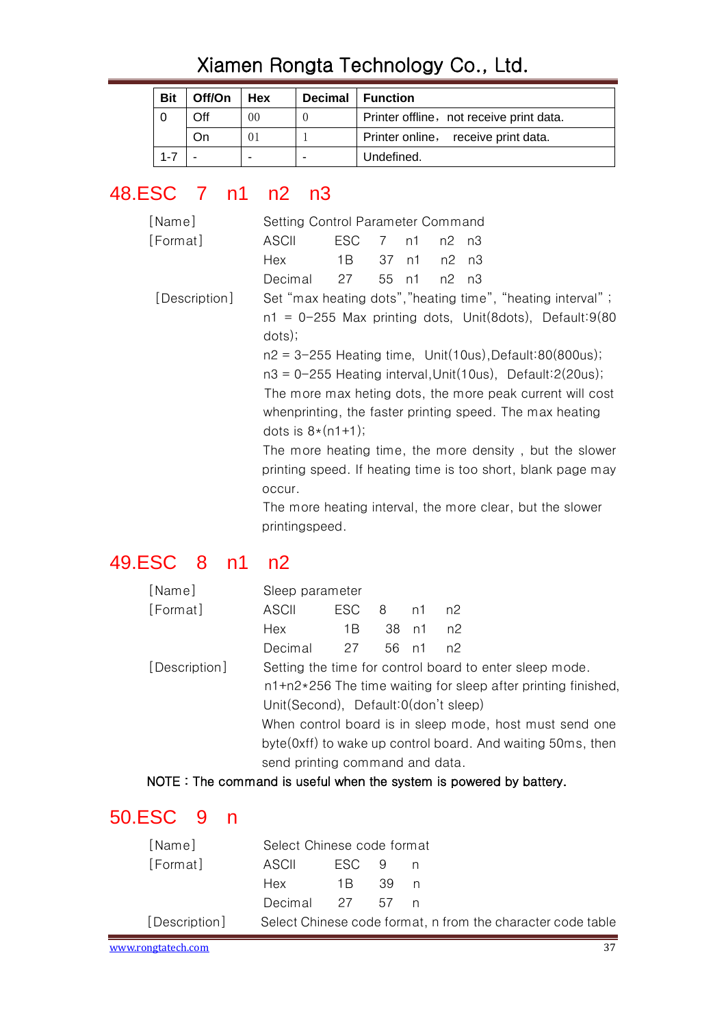| Bit | Off/On | Hex | Decimal | <b>Function</b>                          |
|-----|--------|-----|---------|------------------------------------------|
|     | Off    | 00  |         | Printer offline, not receive print data. |
|     | Οn     | 01  |         | Printer online, receive print data.      |
|     |        |     |         | Undefined.                               |

#### <span id="page-36-0"></span>48.ESC 7 n1 n2 n3

| [Name]        | Setting Control Parameter Command                               |      |                 |    |       |  |  |  |  |
|---------------|-----------------------------------------------------------------|------|-----------------|----|-------|--|--|--|--|
| [Format]      | ASCII                                                           | ESC. | $7\overline{ }$ | n1 | n2 n3 |  |  |  |  |
|               | Hex                                                             | 1 B  | 37              | n1 | n2 n3 |  |  |  |  |
|               | Decimal                                                         | 27   | 55 n1           |    | n2 n3 |  |  |  |  |
| [Description] | Set "max heating dots", "heating time", "heating interval";     |      |                 |    |       |  |  |  |  |
|               | $n1 = 0-255$ Max printing dots, Unit(8dots), Default:9(80       |      |                 |    |       |  |  |  |  |
|               | dots);                                                          |      |                 |    |       |  |  |  |  |
|               | $n2 = 3-255$ Heating time, Unit(10us), Default:80(800us);       |      |                 |    |       |  |  |  |  |
|               | $n3 = 0-255$ Heating interval, Unit(10us), Default: $2(20us)$ ; |      |                 |    |       |  |  |  |  |
|               | The more max heting dots, the more peak current will cost       |      |                 |    |       |  |  |  |  |
|               | whenprinting, the faster printing speed. The max heating        |      |                 |    |       |  |  |  |  |
|               | dots is $8*(n1+1)$ ;                                            |      |                 |    |       |  |  |  |  |
|               | The more heating time, the more density, but the slower         |      |                 |    |       |  |  |  |  |
|               | printing speed. If heating time is too short, blank page may    |      |                 |    |       |  |  |  |  |
|               | occur.                                                          |      |                 |    |       |  |  |  |  |
|               | The more heating interval, the more clear, but the slower       |      |                 |    |       |  |  |  |  |

## <span id="page-36-1"></span>49.ESC 8 n1 n2

| [Name]        | Sleep parameter                                                 |          |       |       |    |  |  |  |  |
|---------------|-----------------------------------------------------------------|----------|-------|-------|----|--|--|--|--|
| [Format]      | ASCII                                                           | ESC 8 n1 |       |       | n2 |  |  |  |  |
|               | Hex                                                             | 1B       |       | 38 n1 | n2 |  |  |  |  |
|               | Decimal                                                         | 27       | 56 n1 |       | n2 |  |  |  |  |
| [Description] | Setting the time for control board to enter sleep mode.         |          |       |       |    |  |  |  |  |
|               | $n1+n2*256$ The time waiting for sleep after printing finished, |          |       |       |    |  |  |  |  |
|               | Unit(Second), Default:0(don't sleep)                            |          |       |       |    |  |  |  |  |
|               | When control board is in sleep mode, host must send one         |          |       |       |    |  |  |  |  |
|               | byte (0xff) to wake up control board. And waiting 50ms, then    |          |       |       |    |  |  |  |  |
|               | send printing command and data.                                 |          |       |       |    |  |  |  |  |
|               |                                                                 |          |       |       |    |  |  |  |  |

NOTE: The command is useful when the system is powered by battery.

printingspeed.

## <span id="page-36-2"></span>50.ESC 9 n

| [Name]             |                 | Select Chinese code format |  |     |                                                             |  |  |  |
|--------------------|-----------------|----------------------------|--|-----|-------------------------------------------------------------|--|--|--|
| [Format]           | ASCIL           | FSC 9                      |  | n n |                                                             |  |  |  |
|                    | Hex             | 1 R 39                     |  | n   |                                                             |  |  |  |
|                    | Decimal 27 57 n |                            |  |     |                                                             |  |  |  |
| [Description]      |                 |                            |  |     | Select Chinese code format, n from the character code table |  |  |  |
| www.rongtatech.com |                 |                            |  |     |                                                             |  |  |  |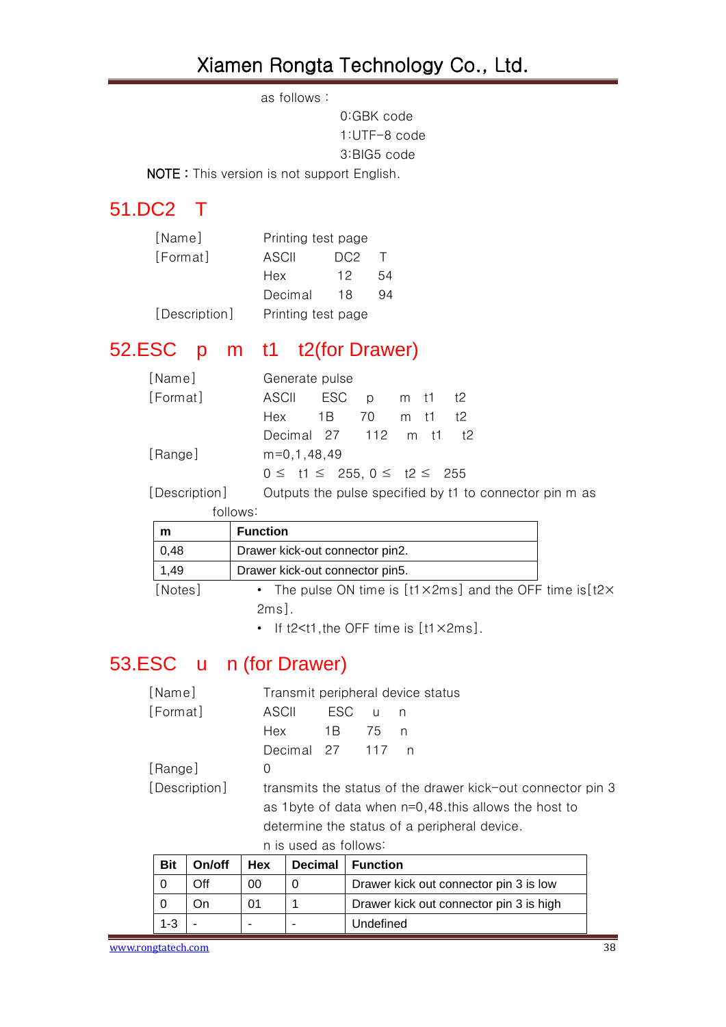as follows:

0:GBK code 1:UTF-8 code 3:BIG5 code

NOTE: This version is not support English.

#### <span id="page-37-0"></span>51.DC2 T

| [Name]        | Printing test page |                 |    |  |  |  |
|---------------|--------------------|-----------------|----|--|--|--|
| [Format]      | ASCII              | DC <sub>2</sub> | T  |  |  |  |
|               | Hex                | 12              | 54 |  |  |  |
|               | Decimal            | 18              | 94 |  |  |  |
| [Description] | Printing test page |                 |    |  |  |  |

## <span id="page-37-1"></span>52.ESC p m t1 t2(for Drawer)

| [Name]        | Generate pulse                           |  |  |      |  |                                                         |  |  |
|---------------|------------------------------------------|--|--|------|--|---------------------------------------------------------|--|--|
| [Format]      | ASCII ESC p m t1 t2                      |  |  |      |  |                                                         |  |  |
|               | Hex 1B 70                                |  |  | m t1 |  | †2                                                      |  |  |
|               | Decimal 27 112 m t1 t2                   |  |  |      |  |                                                         |  |  |
| [Range]       | $m=0,1,48,49$                            |  |  |      |  |                                                         |  |  |
|               | $0 \leq t1 \leq 255, 0 \leq t2 \leq 255$ |  |  |      |  |                                                         |  |  |
| [Description] |                                          |  |  |      |  | Outputs the pulse specified by t1 to connector pin m as |  |  |

|      | follows:                        |
|------|---------------------------------|
| m    | <b>Function</b>                 |
| 0,48 | Drawer kick-out connector pin2. |
| .49  | Drawer kick-out connector pin5. |

[Notes] • The pulse ON time is [t1×2ms] and the OFF time is[t2× 2ms].

• If t2<t1, the OFF time is [t1×2ms].

# <span id="page-37-2"></span>53.ESC u n (for Drawer)

| [Name]        | Transmit peripheral device status                       |       |        |     |                                                             |  |  |  |  |
|---------------|---------------------------------------------------------|-------|--------|-----|-------------------------------------------------------------|--|--|--|--|
| [Format]      | ASCII                                                   | ESC.  | $\cup$ | n n |                                                             |  |  |  |  |
|               | Hex                                                     | - 1 B | 75     | n   |                                                             |  |  |  |  |
|               | Decimal 27 117                                          |       |        | n n |                                                             |  |  |  |  |
| [Range]       | 0                                                       |       |        |     |                                                             |  |  |  |  |
| [Description] |                                                         |       |        |     | transmits the status of the drawer kick-out connector pin 3 |  |  |  |  |
|               | as 1 byte of data when $n=0,48$ this allows the host to |       |        |     |                                                             |  |  |  |  |
|               | determine the status of a peripheral device.            |       |        |     |                                                             |  |  |  |  |
|               | n is used as follows:                                   |       |        |     |                                                             |  |  |  |  |

| <b>Bit</b> | On/off | Hex | Decimal | <b>Function</b>                         |
|------------|--------|-----|---------|-----------------------------------------|
|            | Dff    | 00  |         | Drawer kick out connector pin 3 is low  |
|            |        | 01  |         | Drawer kick out connector pin 3 is high |
| 1-3        |        |     |         | Undefined                               |